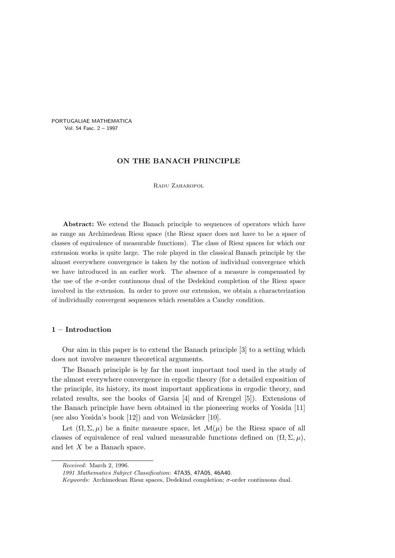PORTUGALIAE MATHEMATICA Vol. 54 Fasc. 2 – 1997

## ON THE BANACH PRINCIPLE

Radu Zaharopol

Abstract: We extend the Banach principle to sequences of operators which have as range an Archimedean Riesz space (the Riesz space does not have to be a space of classes of equivalence of measurable functions). The class of Riesz spaces for which our extension works is quite large. The role played in the classical Banach principle by the almost everywhere convergence is taken by the notion of individual convergence which we have introduced in an earlier work. The absence of a measure is compensated by the use of the  $\sigma$ -order continuous dual of the Dedekind completion of the Riesz space involved in the extension. In order to prove our extension, we obtain a characterization of individually convergent sequences which resembles a Cauchy condition.

## 1 – Introduction

Our aim in this paper is to extend the Banach principle [3] to a setting which does not involve measure theoretical arguments.

The Banach principle is by far the most important tool used in the study of the almost everywhere convergence in ergodic theory (for a detailed exposition of the principle, its history, its most important applications in ergodic theory, and related results, see the books of Garsia [4] and of Krengel [5]). Extensions of the Banach principle have been obtained in the pioneering works of Yosida [11] (see also Yosida's book  $[12]$ ) and von Weizsäcker  $[10]$ .

Let  $(\Omega, \Sigma, \mu)$  be a finite measure space, let  $\mathcal{M}(\mu)$  be the Riesz space of all classes of equivalence of real valued measurable functions defined on  $(\Omega, \Sigma, \mu)$ , and let X be a Banach space.

Received: March 2, 1996.

<sup>1991</sup> Mathematics Subject Classification: 47A35, 47A05, 46A40.

Keywords: Archimedean Riesz spaces, Dedekind completion;  $\sigma$ -order continuous dual.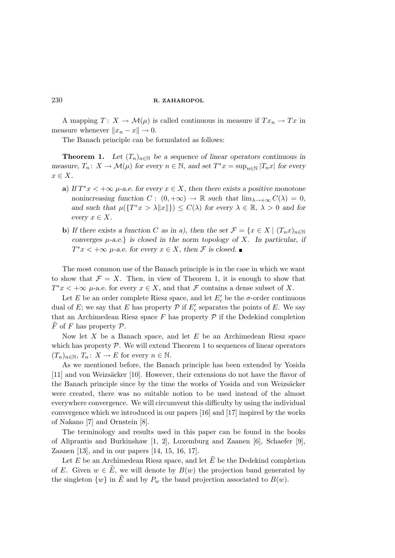A mapping  $T: X \to \mathcal{M}(\mu)$  is called continuous in measure if  $Tx_n \to Tx$  in measure whenever  $||x_n - x|| \to 0$ .

The Banach principle can be formulated as follows:

**Theorem 1.** Let  $(T_n)_{n\in\mathbb{N}}$  be a sequence of linear operators continuous in measure,  $T_n: X \to \mathcal{M}(\mu)$  for every  $n \in \mathbb{N}$ , and set  $T^*x = \sup_{n \in \mathbb{N}} |T_n x|$  for every  $x \in X$ .

- a) If  $T^*x < +\infty$   $\mu$ -a.e. for every  $x \in X$ , then there exists a positive monotone nonincreasing function  $C: (0, +\infty) \to \mathbb{R}$  such that  $\lim_{\lambda \to +\infty} C(\lambda) = 0$ , and such that  $\mu({T^*x > \lambda ||x||}) \leq C(\lambda)$  for every  $\lambda \in \mathbb{R}, \lambda > 0$  and for every  $x \in X$ .
- b) If there exists a function C as in a), then the set  $\mathcal{F} = \{x \in X \mid (T_n x)_{n \in \mathbb{N}}\}$ converges  $\mu$ -a.e.} is closed in the norm topology of X. In particular, if  $T^*x < +\infty$   $\mu$ -a.e. for every  $x \in X$ , then  $\mathcal F$  is closed.

The most common use of the Banach principle is in the case in which we want to show that  $\mathcal{F} = X$ . Then, in view of Theorem 1, it is enough to show that  $T^*x < +\infty$   $\mu$ -a.e. for every  $x \in X$ , and that  $\mathcal F$  contains a dense subset of X.

Let E be an order complete Riesz space, and let  $E_c'$  be the  $\sigma$ -order continuous dual of E; we say that E has property  $P$  if  $E_c'$  separates the points of E. We say that an Archimedean Riesz space  $F$  has property  $\mathcal P$  if the Dedekind completion  $\overline{F}$  of F has property  $\mathcal{P}$ .

Now let  $X$  be a Banach space, and let  $E$  be an Archimedean Riesz space which has property  $P$ . We will extend Theorem 1 to sequences of linear operators  $(T_n)_{n\in\mathbb{N}}, T_n: X \to E$  for every  $n \in \mathbb{N}$ .

As we mentioned before, the Banach principle has been extended by Yosida [11] and von Weizsäcker [10]. However, their extensions do not have the flavor of the Banach principle since by the time the works of Yosida and von Weizsäcker were created, there was no suitable notion to be used instead of the almost everywhere convergence. We will circumvent this difficulty by using the individual convergence which we introduced in our papers [16] and [17] inspired by the works of Nakano [7] and Ornstein [8].

The terminology and results used in this paper can be found in the books of Aliprantis and Burkinshaw [1, 2], Luxemburg and Zaanen [6], Schaefer [9], Zaanen [13], and in our papers [14, 15, 16, 17].

Let E be an Archimedean Riesz space, and let  $\widehat{E}$  be the Dedekind completion of E. Given  $w \in \widehat{E}$ , we will denote by  $B(w)$  the projection band generated by the singleton  $\{w\}$  in  $\widehat{E}$  and by  $P_w$  the band projection associated to  $B(w)$ .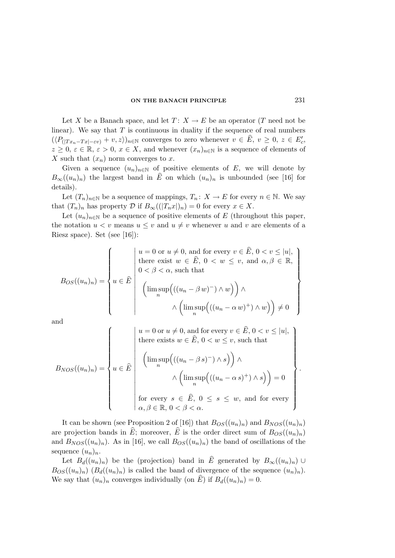Let X be a Banach space, and let  $T: X \to E$  be an operator (T need not be linear). We say that  $T$  is continuous in duality if the sequence of real numbers  $(\langle P_{(|Tx_n-Tx|-\varepsilon v)}+v,z\rangle)_{n\in\mathbb{N}}$  converges to zero whenever  $v\in \widehat{E}, v\geq 0, z\in E'_c$ ,  $z \geq 0, \varepsilon \in \mathbb{R}, \varepsilon > 0, x \in X$ , and whenever  $(x_n)_{n \in \mathbb{N}}$  is a sequence of elements of X such that  $(x_n)$  norm converges to x.

Given a sequence  $(u_n)_{n\in\mathbb{N}}$  of positive elements of E, we will denote by  $B_{\infty}((u_n)_n)$  the largest band in  $\widehat{E}$  on which  $(u_n)_n$  is unbounded (see [16] for details).

Let  $(T_n)_{n\in\mathbb{N}}$  be a sequence of mappings,  $T_n: X \to E$  for every  $n \in \mathbb{N}$ . We say that  $(T_n)_n$  has property  $\mathcal D$  if  $B_\infty((|T_n x|)_n) = 0$  for every  $x \in X$ .

Let  $(u_n)_{n\in\mathbb{N}}$  be a sequence of positive elements of E (throughout this paper, the notation  $u < v$  means  $u \leq v$  and  $u \neq v$  whenever u and v are elements of a Riesz space). Set (see [16]):

$$
B_{OS}((u_n)_n) = \left\{ u \in \widehat{E} \middle| \begin{array}{l} u = 0 \text{ or } u \neq 0 \text{, and for every } v \in \widehat{E}, 0 < v \leq |u|, \\ \text{there exist } w \in \widehat{E}, 0 < w \leq v \text{, and } \alpha, \beta \in \mathbb{R}, \\ 0 < \beta < \alpha \text{, such that} \\ \left( \limsup_n \left( ((u_n - \beta w)^-) \wedge w \right) \right) \wedge \\ \wedge \left( \limsup_n \left( ((u_n - \alpha w)^+) \wedge w \right) \right) \neq 0 \end{array} \right\}
$$

and

$$
B_{NOS}((u_n)_n) = \begin{cases} u = 0 \text{ or } u \neq 0, \text{ and for every } v \in \hat{E}, 0 < v \leq |u|, \\ \text{there exists } w \in \hat{E}, 0 < w \leq v, \text{ such that} \\ \left(\limsup_n \left(((u_n - \beta s)^-) \land s\right)\right) \land \\ \land \left(\limsup_n \left(((u_n - \alpha s)^+) \land s\right)\right) = 0 \\ \text{for every } s \in \hat{E}, 0 \leq s \leq w, \text{ and for every} \\ \alpha, \beta \in \mathbb{R}, 0 < \beta < \alpha. \end{cases}.
$$

It can be shown (see Proposition 2 of [16]) that  $B_{OS}(u_n)_n$  and  $B_{NOS}(u_n)_n$ are projection bands in  $\hat{E}$ ; moreover,  $\hat{E}$  is the order direct sum of  $B_{OS}(u_n)_n$ ) and  $B_{NOS}((u_n)_n)$ . As in [16], we call  $B_{OS}((u_n)_n)$  the band of oscillations of the sequence  $(u_n)_n$ .

Let  $B_d((u_n)_n)$  be the (projection) band in  $\widehat{E}$  generated by  $B_{\infty}((u_n)_n) \cup$  $B_{OS}(u_n)_n$   $(B_d(u_n)_n)$  is called the band of divergence of the sequence  $(u_n)_n$ . We say that  $(u_n)_n$  converges individually (on  $\hat{E}$ ) if  $B_d((u_n)_n) = 0$ .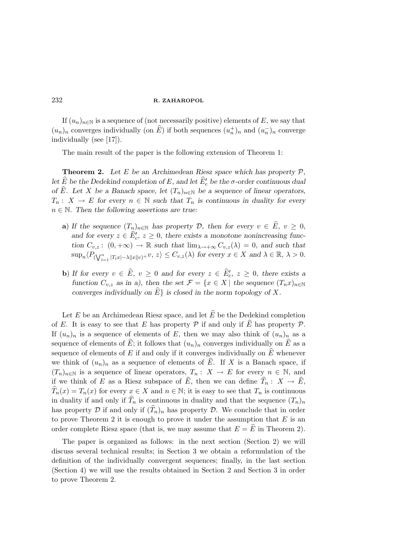If  $(u_n)_{n\in\mathbb{N}}$  is a sequence of (not necessarily positive) elements of E, we say that  $(u_n)_n$  converges individually (on  $\widehat{E}$ ) if both sequences  $(u_n^+)_n$  and  $(u_n^-)_n$  converge individually (see [17]).

The main result of the paper is the following extension of Theorem 1:

**Theorem 2.** Let E be an Archimedean Riesz space which has property  $P$ , let  $\widehat{E}$  be the Dedekind completion of E, and let  $\widehat{E}'_c$  be the  $\sigma$ -order continuous dual of E. Let X be a Banach space, let  $(T_n)_{n\in\mathbb{N}}$  be a sequence of linear operators,  $T_n: X \to E$  for every  $n \in \mathbb{N}$  such that  $T_n$  is continuous in duality for every  $n \in \mathbb{N}$ . Then the following assertions are true:

- a) If the sequence  $(T_n)_{n\in\mathbb{N}}$  has property D, then for every  $v \in \widehat{E}$ ,  $v \ge 0$ , and for every  $z \in \hat{E}'_c$ ,  $z \geq 0$ , there exists a monotone nonincreasing function  $C_{v,z}$ :  $(0, +\infty) \to \mathbb{R}$  such that  $\lim_{\lambda \to +\infty} C_{v,z}(\lambda) = 0$ , and such that  $\sup_n \langle P_{(\bigvee_{l=1}^n |T_l x| - \lambda ||x||v)^+} v, z \rangle \leq C_{v,z}(\lambda)$  for every  $x \in X$  and  $\lambda \in \mathbb{R}, \lambda > 0$ .
- **b**) If for every  $v \in \widehat{E}$ ,  $v \ge 0$  and for every  $z \in \widehat{E}'_c$ ,  $z \ge 0$ , there exists a function  $C_{v,z}$  as in a), then the set  $\mathcal{F} = \{x \in X \mid \text{the sequence } (T_n x)_{n \in \mathbb{N}}\}$ converges individually on  $\widehat{E}$  is closed in the norm topology of X.

Let E be an Archimedean Riesz space, and let  $\hat{E}$  be the Dedekind completion of E. It is easy to see that E has property  $P$  if and only if  $\hat{E}$  has property  $P$ . If  $(u_n)_n$  is a sequence of elements of E, then we may also think of  $(u_n)_n$  as a sequence of elements of  $\hat{E}$ ; it follows that  $(u_n)_n$  converges individually on  $\hat{E}$  as a sequence of elements of E if and only if it converges individually on  $\hat{E}$  whenever we think of  $(u_n)_n$  as a sequence of elements of E. If X is a Banach space, if  $(T_n)_{n\in\mathbb{N}}$  is a sequence of linear operators,  $T_n: X \to E$  for every  $n \in \mathbb{N}$ , and if we think of E as a Riesz subspace of E, then we can define  $T_n : X \to E$ ,  $T_n(x) = T_n(x)$  for every  $x \in X$  and  $n \in \mathbb{N}$ ; it is easy to see that  $T_n$  is continuous in duality if and only if  $T_n$  is continuous in duality and that the sequence  $(T_n)_n$ has property  $D$  if and only if  $(T_n)_n$  has property  $D$ . We conclude that in order to prove Theorem 2 it is enough to prove it under the assumption that  $E$  is an order complete Riesz space (that is, we may assume that  $E = \overline{E}$  in Theorem 2).

The paper is organized as follows: in the next section (Section 2) we will discuss several technical results; in Section 3 we obtain a reformulation of the definition of the individually convergent sequences; finally, in the last section (Section 4) we will use the results obtained in Section 2 and Section 3 in order to prove Theorem 2.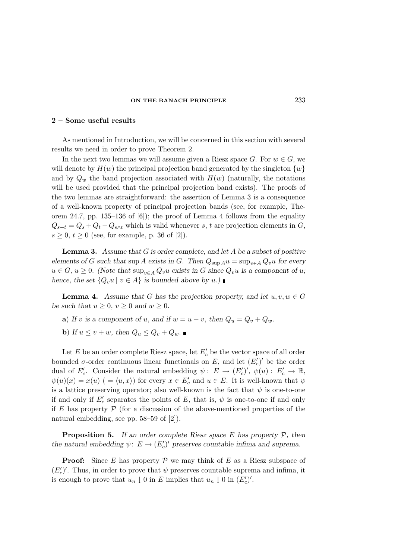## 2 – Some useful results

As mentioned in Introduction, we will be concerned in this section with several results we need in order to prove Theorem 2.

In the next two lemmas we will assume given a Riesz space G. For  $w \in G$ , we will denote by  $H(w)$  the principal projection band generated by the singleton  $\{w\}$ and by  $Q_w$  the band projection associated with  $H(w)$  (naturally, the notations will be used provided that the principal projection band exists). The proofs of the two lemmas are straightforward: the assertion of Lemma 3 is a consequence of a well-known property of principal projection bands (see, for example, Theorem 24.7, pp. 135–136 of [6]); the proof of Lemma 4 follows from the equality  $Q_{s+t} = Q_s + Q_t - Q_{s\wedge t}$  which is valid whenever s, t are projection elements in G,  $s \ge 0, t \ge 0$  (see, for example, p. 36 of [2]).

**Lemma 3.** Assume that  $G$  is order complete, and let  $A$  be a subset of positive elements of G such that sup A exists in G. Then  $Q_{\text{sup A}}u = \sup_{v \in A} Q_v u$  for every  $u \in G$ ,  $u \geq 0$ . (Note that  $\sup_{v \in A} Q_v u$  exists in G since  $Q_v u$  is a component of u; hence, the set  $\{Q_v u \mid v \in A\}$  is bounded above by  $u$ .)

**Lemma 4.** Assume that G has the projection property, and let  $u, v, w \in G$ be such that  $u \geq 0$ ,  $v \geq 0$  and  $w \geq 0$ .

- a) If v is a component of u, and if  $w = u v$ , then  $Q_u = Q_v + Q_w$ .
- b) If  $u \leq v + w$ , then  $Q_u \leq Q_v + Q_w$ .

Let E be an order complete Riesz space, let  $E_c'$  be the vector space of all order bounded  $\sigma$ -order continuous linear functionals on E, and let  $(E'_c)'$  be the order dual of  $E_c'$ . Consider the natural embedding  $\psi: E \to (E_c')', \psi(u): E_c' \to \mathbb{R}$ ,  $\psi(u)(x) = x(u)$   $( = \langle u, x \rangle)$  for every  $x \in E_c'$  and  $u \in E$ . It is well-known that  $\psi$ is a lattice preserving operator; also well-known is the fact that  $\psi$  is one-to-one if and only if  $E_c'$  separates the points of E, that is,  $\psi$  is one-to-one if and only if E has property  $P$  (for a discussion of the above-mentioned properties of the natural embedding, see pp. 58–59 of [2]).

**Proposition 5.** If an order complete Riesz space E has property  $P$ , then the natural embedding  $\psi: E \to (E'_c)'$  preserves countable infima and suprema.

**Proof:** Since E has property P we may think of E as a Riesz subspace of  $(E_c')'$ . Thus, in order to prove that  $\psi$  preserves countable suprema and infima, it is enough to prove that  $u_n \downarrow 0$  in E implies that  $u_n \downarrow 0$  in  $(E_c')'$ .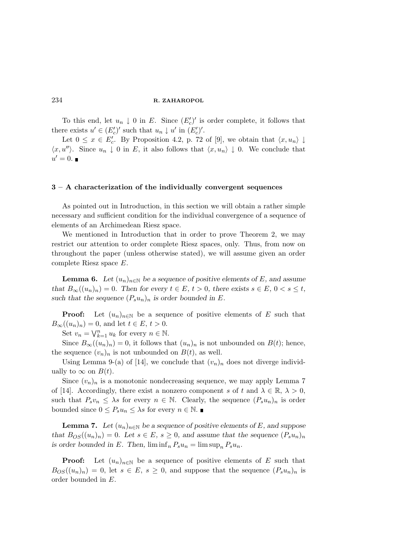To this end, let  $u_n \downarrow 0$  in E. Since  $(E_c')'$  is order complete, it follows that there exists  $u' \in (E'_c)'$  such that  $u_n \downarrow u'$  in  $(E'_c)'$ .

Let  $0 \leq x \in E'_c$ . By Proposition 4.2, p. 72 of [9], we obtain that  $\langle x, u_n \rangle \downarrow$  $\langle x, u'' \rangle$ . Since  $u_n \downarrow 0$  in E, it also follows that  $\langle x, u_n \rangle \downarrow 0$ . We conclude that  $u'=0.$ 

### 3 – A characterization of the individually convergent sequences

As pointed out in Introduction, in this section we will obtain a rather simple necessary and sufficient condition for the individual convergence of a sequence of elements of an Archimedean Riesz space.

We mentioned in Introduction that in order to prove Theorem 2, we may restrict our attention to order complete Riesz spaces, only. Thus, from now on throughout the paper (unless otherwise stated), we will assume given an order complete Riesz space E.

**Lemma 6.** Let  $(u_n)_{n\in\mathbb{N}}$  be a sequence of positive elements of E, and assume that  $B_{\infty}((u_n)_n) = 0$ . Then for every  $t \in E$ ,  $t > 0$ , there exists  $s \in E$ ,  $0 < s \le t$ , such that the sequence  $(P_s u_n)_n$  is order bounded in E.

**Proof:** Let  $(u_n)_{n\in\mathbb{N}}$  be a sequence of positive elements of E such that  $B_{\infty}((u_n)_n)=0$ , and let  $t \in E$ ,  $t > 0$ .

Set  $v_n = \bigvee_{k=1}^n u_k$  for every  $n \in \mathbb{N}$ .

Since  $B_{\infty}((u_n)_n) = 0$ , it follows that  $(u_n)_n$  is not unbounded on  $B(t)$ ; hence, the sequence  $(v_n)_n$  is not unbounded on  $B(t)$ , as well.

Using Lemma 9-(a) of [14], we conclude that  $(v_n)_n$  does not diverge individually to  $\infty$  on  $B(t)$ .

Since  $(v_n)_n$  is a monotonic nondecreasing sequence, we may apply Lemma 7 of [14]. Accordingly, there exist a nonzero component s of t and  $\lambda \in \mathbb{R}, \lambda > 0$ , such that  $P_s v_n \leq \lambda s$  for every  $n \in \mathbb{N}$ . Clearly, the sequence  $(P_s u_n)_n$  is order bounded since  $0 \le P_s u_n \leq \lambda s$  for every  $n \in \mathbb{N}$ .

**Lemma 7.** Let  $(u_n)_{n\in\mathbb{N}}$  be a sequence of positive elements of E, and suppose that  $B_{OS}((u_n)_n) = 0$ . Let  $s \in E$ ,  $s \geq 0$ , and assume that the sequence  $(P_s u_n)_n$ is order bounded in E. Then,  $\liminf_{n} P_s u_n = \limsup_{n} P_s u_n$ .

**Proof:** Let  $(u_n)_{n\in\mathbb{N}}$  be a sequence of positive elements of E such that  $B_{OS}(u_n)_n = 0$ , let  $s \in E$ ,  $s \geq 0$ , and suppose that the sequence  $(P_s u_n)_n$  is order bounded in E.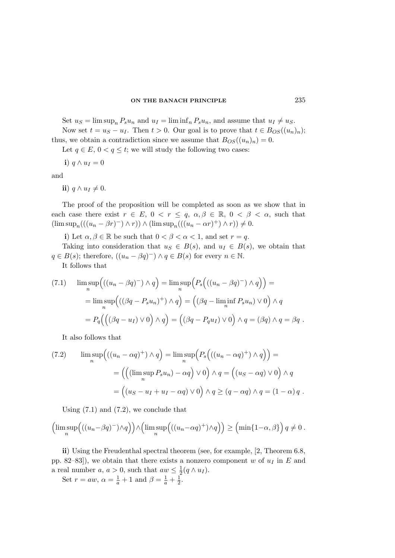Set  $u_S = \limsup_n P_s u_n$  and  $u_I = \liminf_n P_s u_n$ , and assume that  $u_I \neq u_S$ .

Now set  $t = u_S - u_I$ . Then  $t > 0$ . Our goal is to prove that  $t \in B_{OS}((u_n)_n)$ ; thus, we obtain a contradiction since we assume that  $B_{OS}(u_n)_n = 0$ .

Let  $q \in E$ ,  $0 < q \le t$ ; we will study the following two cases:

i)  $q \wedge u_I = 0$ 

and

ii)  $q \wedge u_I \neq 0$ .

The proof of the proposition will be completed as soon as we show that in each case there exist  $r \in E$ ,  $0 < r \leq q$ ,  $\alpha, \beta \in \mathbb{R}$ ,  $0 < \beta < \alpha$ , such that  $(\limsup_n(((u_n - \beta r)^-) \wedge r)) \wedge (\limsup_n(((u_n - \alpha r)^+) \wedge r)) \neq 0.$ 

i) Let  $\alpha, \beta \in \mathbb{R}$  be such that  $0 < \beta < \alpha < 1$ , and set  $r = q$ .

Taking into consideration that  $u_S \in B(s)$ , and  $u_I \in B(s)$ , we obtain that  $q \in B(s)$ ; therefore,  $((u_n - \beta q)^-) \wedge q \in B(s)$  for every  $n \in \mathbb{N}$ .

It follows that

(7.1) 
$$
\limsup_{n} \left( ((u_n - \beta q)^{-}) \wedge q \right) = \limsup_{n} \left( P_s \left( ((u_n - \beta q)^{-}) \wedge q \right) \right) =
$$

$$
= \limsup_{n} \left( ((\beta q - P_s u_n)^{+}) \wedge q \right) = \left( (\beta q - \liminf_{n} P_s u_n) \vee 0 \right) \wedge q
$$

$$
= P_q \left( \left( (\beta q - u_I) \vee 0 \right) \wedge q \right) = \left( (\beta q - P_q u_I) \vee 0 \right) \wedge q = (\beta q) \wedge q = \beta q.
$$

It also follows that

(7.2) 
$$
\limsup_{n} \left( ((u_n - \alpha q)^+) \wedge q \right) = \limsup_{n} \left( P_s \left( ((u_n - \alpha q)^+) \wedge q \right) \right) = \\ = \left( \left( (\limsup_{n} P_s u_n) - \alpha q \right) \vee 0 \right) \wedge q = \left( (u_S - \alpha q) \vee 0 \right) \wedge q
$$

$$
= \left( (u_S - u_I + u_I - \alpha q) \vee 0 \right) \wedge q \ge (q - \alpha q) \wedge q = (1 - \alpha) q.
$$

Using  $(7.1)$  and  $(7.2)$ , we conclude that

$$
\left(\limsup_{n}\left(((u_n-\beta q)^{-})\wedge q\right)\right)\wedge \left(\limsup_{n}\left(((u_n-\alpha q)^{+})\wedge q\right)\right) \ge \left(\min\{1-\alpha,\beta\}\right)q\neq 0.
$$

ii) Using the Freudenthal spectral theorem (see, for example, [2, Theorem 6.8, pp. 82–83]), we obtain that there exists a nonzero component w of  $u_I$  in E and a real number  $a, a > 0$ , such that  $aw \leq \frac{1}{2}$  $rac{1}{2}(q\wedge u_I).$ 

Set  $r = aw$ ,  $\alpha = \frac{1}{a} + 1$  and  $\beta = \frac{1}{a} + \frac{1}{2}$  $\frac{1}{2}$ .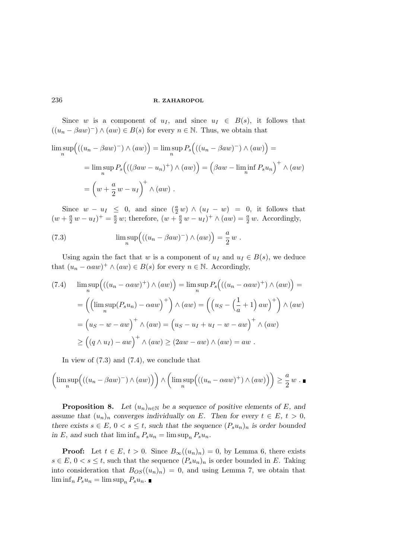Since w is a component of  $u_I$ , and since  $u_I \in B(s)$ , it follows that  $((u_n - \beta a w)^-) \wedge (aw) \in B(s)$  for every  $n \in \mathbb{N}$ . Thus, we obtain that

$$
\limsup_{n} \left( ((u_n - \beta a w)^{-}) \wedge (aw) \right) = \limsup_{n} P_s \left( ((u_n - \beta a w)^{-}) \wedge (aw) \right) =
$$
  
= 
$$
\limsup_{n} P_s \left( ((\beta a w - u_n)^{+}) \wedge (aw) \right) = \left( \beta a w - \liminf_{n} P_s u_n \right)^{+} \wedge (aw)
$$
  
= 
$$
\left( w + \frac{a}{2} w - u_I \right)^{+} \wedge (aw) .
$$

Since  $w - u_I \leq 0$ , and since  $(\frac{a}{2}w) \wedge (u_I - w) = 0$ , it follows that  $(w + \frac{a}{2} w - u_I)^+ = \frac{a}{2} w$ ; therefore,  $(w + \frac{a}{2} w - u_I)^+ \wedge (aw) = \frac{a}{2} w$ . Accordingly,

(7.3) 
$$
\limsup_n ((u_n - \beta a w)^-) \wedge (a w) = \frac{a}{2} w.
$$

Using again the fact that w is a component of  $u_I$  and  $u_I \in B(s)$ , we deduce that  $(u_n - \alpha a w)^+ \wedge (a w) \in B(s)$  for every  $n \in \mathbb{N}$ . Accordingly,

$$
(7.4) \quad \limsup_{n} \left( ((u_n - \alpha a w)^+) \wedge (aw) \right) = \limsup_{n} P_s \left( ((u_n - \alpha a w)^+) \wedge (aw) \right) =
$$
\n
$$
= \left( \left( \limsup_{n} (P_s u_n) - \alpha a w \right)^+ \right) \wedge (aw) = \left( \left( u_S - \left( \frac{1}{a} + 1 \right) a w \right)^+ \right) \wedge (aw)
$$
\n
$$
= \left( u_S - w - aw \right)^+ \wedge (aw) = \left( u_S - u_I + u_I - w - aw \right)^+ \wedge (aw)
$$
\n
$$
\geq \left( \left( q \wedge u_I \right) - aw \right)^+ \wedge (aw) \geq (2aw - aw) \wedge (aw) = aw .
$$

In view of (7.3) and (7.4), we conclude that

$$
\left(\limsup_n \left( ((u_n - \beta a w)^{-}) \wedge (aw) \right) \right) \wedge \left( \limsup_n \left( ((u_n - \alpha a w)^{+}) \wedge (aw) \right) \right) \ge \frac{a}{2} w . \blacksquare
$$

**Proposition 8.** Let  $(u_n)_{n\in\mathbb{N}}$  be a sequence of positive elements of E, and assume that  $(u_n)_n$  converges individually on E. Then for every  $t \in E$ ,  $t > 0$ , there exists  $s \in E$ ,  $0 < s \le t$ , such that the sequence  $(P_s u_n)_n$  is order bounded in E, and such that  $\liminf_{n} P_s u_n = \limsup_{n} P_s u_n$ .

**Proof:** Let  $t \in E$ ,  $t > 0$ . Since  $B_{\infty}((u_n)_n) = 0$ , by Lemma 6, there exists  $s \in E, 0 < s \leq t$ , such that the sequence  $(P_s u_n)_n$  is order bounded in E. Taking into consideration that  $B_{OS}(u_n)_n = 0$ , and using Lemma 7, we obtain that  $\liminf_{n} P_s u_n = \limsup_{n} P_s u_n$ .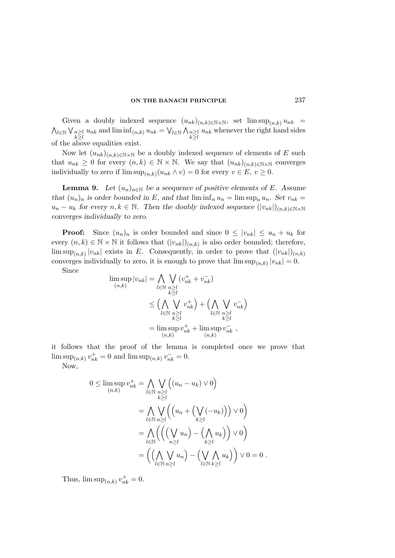Given a doubly indexed sequence  $(u_{nk})_{(n,k)\in\mathbb{N}\times\mathbb{N}}$ , set  $\limsup_{(n,k)} u_{nk}$  $\bigwedge_{l\in\mathbb{N}}\bigvee_{n\geq l}$  $\lim_{\substack{n\geq l\\k\geq l}} u_{nk}$  and  $\liminf_{(n,k)} u_{nk} = \bigvee_{l\in\mathbb{N}} \bigwedge_{\substack{n\geq l\\k\geq l}}$  $k \geq l$  $u_{nk}$  whenever the right hand sides of the above equalities exist.

Now let  $(u_{nk})_{(n,k)\in\mathbb{N}\times\mathbb{N}}$  be a doubly indexed sequence of elements of E such that  $u_{nk} \geq 0$  for every  $(n, k) \in \mathbb{N} \times \mathbb{N}$ . We say that  $(u_{nk})_{(n,k)\in\mathbb{N}\times\mathbb{N}}$  converges individually to zero if  $\limsup_{(n,k)} (u_{nk} \wedge v) = 0$  for every  $v \in E, v \ge 0$ .

**Lemma 9.** Let  $(u_n)_{n\in\mathbb{N}}$  be a seequence of positive elements of E. Assume that  $(u_n)_n$  is order bounded in E, and that  $\liminf_n u_n = \limsup_n u_n$ . Set  $v_{nk} =$  $u_n - u_k$  for every  $n, k \in \mathbb{N}$ . Then the doubly indexed sequence  $(|v_{nk}|)_{(n,k)\in\mathbb{N}\times\mathbb{N}}$ converges individually to zero.

**Proof:** Since  $(u_n)_n$  is order bounded and since  $0 \leq |v_{nk}| \leq u_n + u_k$  for every  $(n, k) \in \mathbb{N} \times \mathbb{N}$  it follows that  $(|v_{nk}|)_{(n,k)}$  is also order bounded; therefore,  $\limsup_{(n,k)} |v_{nk}|$  exists in E. Consequently, in order to prove that  $(|v_{nk}|)_{(n,k)}$ converges individually to zero, it is enough to prove that  $\limsup_{(n,k)} |v_{nk}| = 0$ .

Since

$$
\limsup_{(n,k)} |v_{nk}| = \bigwedge_{l \in \mathbb{N}} \bigvee_{\substack{n \geq l \\ k \geq l}} (v_{nk}^+ + v_{nk}^-)
$$
\n
$$
\leq \Big(\bigwedge_{l \in \mathbb{N}} \bigvee_{\substack{n \geq l \\ k \geq l}} v_{nk}^+\Big) + \Big(\bigwedge_{l \in \mathbb{N}} \bigvee_{\substack{n \geq l \\ k \geq l}} v_{nk}^-\Big)
$$
\n
$$
= \limsup_{(n,k)} v_{nk}^+ + \limsup_{(n,k)} v_{nk}^- ,
$$

it follows that the proof of the lemma is completed once we prove that  $\limsup_{(n,k)} v_{nk}^+ = 0$  and  $\limsup_{(n,k)} v_{nk}^- = 0$ .

Now,

$$
0 \leq \limsup_{(n,k)} v_{nk}^+ = \bigwedge_{l \in \mathbb{N}} \bigvee_{n \geq l} \Big( (u_n - u_k) \vee 0 \Big)
$$
  
= 
$$
\bigwedge_{l \in \mathbb{N}} \bigvee_{n \geq l} \Big( \Big( u_n + \Big( \bigvee_{k \geq l} (-u_k) \Big) \Big) \vee 0 \Big)
$$
  
= 
$$
\bigwedge_{l \in \mathbb{N}} \Big( \Big( \Big( \bigvee_{n \geq l} u_n \Big) - \Big( \bigwedge_{k \geq l} u_k \Big) \Big) \vee 0 \Big)
$$
  
= 
$$
\Big( \Big( \bigwedge_{l \in \mathbb{N}} \bigvee_{n \geq l} u_n \Big) - \Big( \bigvee_{l \in \mathbb{N}} \bigwedge_{k \geq l} u_k \Big) \Big) \vee 0 = 0.
$$

Thus,  $\limsup_{(n,k)} v_{nk}^+ = 0.$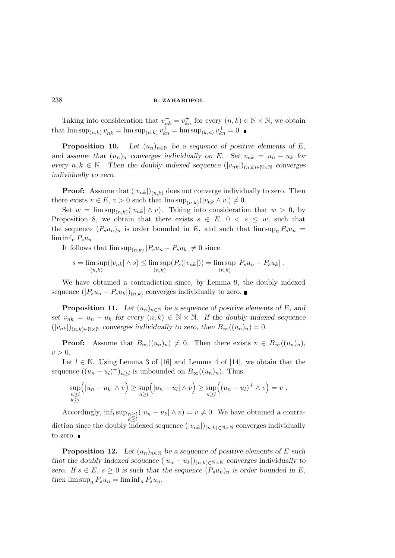Taking into consideration that  $v_{nk}^- = v_{kn}^+$  for every  $(n, k) \in \mathbb{N} \times \mathbb{N}$ , we obtain that  $\limsup_{(n,k)} v_{nk}^- = \limsup_{(n,k)} v_{kn}^+ = \limsup_{(k,n)} v_{kn}^+ = 0.$ 

**Proposition 10.** Let  $(u_n)_{n\in\mathbb{N}}$  be a sequence of positive elements of E, and assume that  $(u_n)_n$  converges individually on E. Set  $v_{nk} = u_n - u_k$  for every  $n, k \in \mathbb{N}$ . Then the doubly indexed sequence  $(|v_{nk}|)_{(n,k)\in\mathbb{N}\times\mathbb{N}}$  converges individually to zero.

**Proof:** Assume that  $(|v_{nk}|)_{(n,k)}$  does not converge individually to zero. Then there exists  $v \in E$ ,  $v > 0$  such that  $\limsup_{(n,k)}(|v_{nk} \wedge v|) \neq 0$ .

Set  $w = \limsup_{(n,k)} (|v_{nk}| \wedge v)$ . Taking into consideration that  $w > 0$ , by Proposition 8, we obtain that there exists  $s \in E$ ,  $0 < s \leq w$ , such that the sequence  $(P_s u_n)_n$  is order bounded in E, and such that  $\limsup_n P_s u_n =$  $\liminf_{n} P_s u_n$ .

It follows that  $\limsup_{(n,k)} |P_s u_n - P_s u_k| \neq 0$  since

$$
s = \limsup_{(n,k)} (|v_{nk}| \wedge s) \le \limsup_{(n,k)} (P_s(|v_{nk}|)) = \limsup_{(n,k)} |P_s u_n - P_s u_k|.
$$

We have obtained a contradiction since, by Lemma 9, the doubly indexed sequence  $(|P_s u_n - P_s u_k|)_{(n,k)}$  converges individually to zero. ■

**Proposition 11.** Let  $(u_n)_{n\in\mathbb{N}}$  be a sequence of positive elements of E, and set  $v_{nk} = u_n - u_k$  for every  $(n, k) \in \mathbb{N} \times \mathbb{N}$ . If the doubly indexed sequence  $(|v_{nk}|)_{(n,k)\in\mathbb{N}\times\mathbb{N}}$  converges individually to zero, then  $B_{\infty}((u_n)_n)=0$ .

**Proof:** Assume that  $B_{\infty}((u_n)_n) \neq 0$ . Then there exists  $v \in B_{\infty}((u_n)_n)$ ,  $v > 0$ .

Let  $l \in \mathbb{N}$ . Using Lemma 3 of [16] and Lemma 4 of [14], we obtain that the sequence  $((u_n - u_l)^+)_{n \geq l}$  is unbounded on  $B_{\infty}((u_n)_n)$ . Thus,

$$
\sup_{\substack{n\geq l\\k\geq l}}\Bigl(|u_n-u_k|\wedge v\Bigr)\geq \sup_{n\geq l}\Bigl(|u_n-u_l|\wedge v\Bigr)\geq \sup_{n\geq l}\Bigl((u_n-u_l)^+\wedge v\Bigr)=v.
$$

Accordingly,  $\inf_l \sup_{n\geq l}$  $k \geq l$  $(|u_n - u_k| \wedge v) = v \neq 0$ . We have obtained a contradiction since the doubly indexed sequence  $(|v_{nk}|)_{(n,k)\in\mathbb{N}\times\mathbb{N}}$  converges individually to zero.  $\blacksquare$ 

**Proposition 12.** Let  $(u_n)_{n\in\mathbb{N}}$  be a sequence of positive elements of E such that the doubly indexed sequence  $(|u_n - u_k|)_{(n,k)\in\mathbb{N}\times\mathbb{N}}$  converges individually to zero. If  $s \in E$ ,  $s \geq 0$  is such that the sequence  $(P_s u_n)_n$  is order bounded in E, then  $\limsup_n P_s u_n = \liminf_n P_s u_n$ .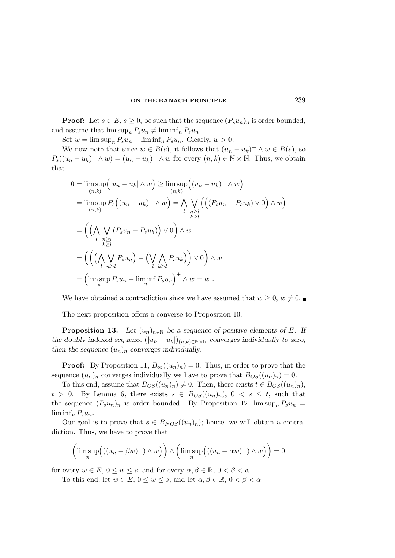**Proof:** Let  $s \in E$ ,  $s \geq 0$ , be such that the sequence  $(P_s u_n)_n$  is order bounded, and assume that  $\limsup_n P_s u_n \neq \liminf_n P_s u_n$ .

Set  $w = \limsup_n P_s u_n - \liminf_n P_s u_n$ . Clearly,  $w > 0$ .

We now note that since  $w \in B(s)$ , it follows that  $(u_n - u_k)^+ \wedge w \in B(s)$ , so  $P_s((u_n - u_k)^+ \wedge w) = (u_n - u_k)^+ \wedge w$  for every  $(n, k) \in \mathbb{N} \times \mathbb{N}$ . Thus, we obtain that

$$
0 = \limsup_{(n,k)} \left( |u_n - u_k| \wedge w \right) \ge \limsup_{(n,k)} \left( (u_n - u_k)^+ \wedge w \right)
$$
  
\n
$$
= \limsup_{(n,k)} P_s \left( (u_n - u_k)^+ \wedge w \right) = \bigwedge_{\substack{l} \substack{n \ge l \\ k \ge l}} \bigvee_{\substack{n \ge l \\ k \ge l}} \left( \left( (P_s u_n - P_s u_k) \vee 0 \right) \wedge w \right)
$$
  
\n
$$
= \left( \left( \bigwedge_{\substack{n \ge l \\ l}} \bigvee_{\substack{n \ge l \\ k \ge l}} P_s u_n - P_s u_k \right) \right) \vee 0 \right) \wedge w
$$
  
\n
$$
= \left( \left( \left( \bigwedge_{\substack{l} \substack{n \ge l \\ l}} P_s u_n \right) - \left( \bigvee_{\substack{l} \substack{k \ge l \\ k \ge l}} P_s u_k \right) \right) \vee 0 \right) \wedge w
$$
  
\n
$$
= \left( \limsup_{n} P_s u_n - \liminf_{n} P_s u_n \right)^+ \wedge w = w.
$$

We have obtained a contradiction since we have assumed that  $w \geq 0$ ,  $w \neq 0$ .

The next proposition offers a converse to Proposition 10.

**Proposition 13.** Let  $(u_n)_{n\in\mathbb{N}}$  be a sequence of positive elements of E. If the doubly indexed sequence  $(|u_n - u_k|)_{(n,k) \in \mathbb{N} \times \mathbb{N}}$  converges individually to zero, then the sequence  $(u_n)_n$  converges individually.

**Proof:** By Proposition 11,  $B_{\infty}((u_n)_n) = 0$ . Thus, in order to prove that the sequence  $(u_n)_n$  converges individually we have to prove that  $B_{OS}((u_n)_n) = 0$ .

To this end, assume that  $B_{OS}(u_n)_n \neq 0$ . Then, there exists  $t \in B_{OS}(u_n)_n$ ,  $t > 0$ . By Lemma 6, there exists  $s \in B_{OS}((u_n)_n)$ ,  $0 \leq s \leq t$ , such that the sequence  $(P_s u_n)_n$  is order bounded. By Proposition 12,  $\limsup_n P_s u_n =$  $\liminf_{n} P_s u_n$ .

Our goal is to prove that  $s \in B_{NOS}((u_n)_n)$ ; hence, we will obtain a contradiction. Thus, we have to prove that

$$
\left(\limsup_{n} \left( ((u_n - \beta w)^{-}) \wedge w \right) \right) \wedge \left( \limsup_{n} \left( ((u_n - \alpha w)^{+}) \wedge w \right) \right) = 0
$$

for every  $w \in E$ ,  $0 \le w \le s$ , and for every  $\alpha, \beta \in \mathbb{R}$ ,  $0 < \beta < \alpha$ .

To this end, let  $w \in E$ ,  $0 \le w \le s$ , and let  $\alpha, \beta \in \mathbb{R}$ ,  $0 < \beta < \alpha$ .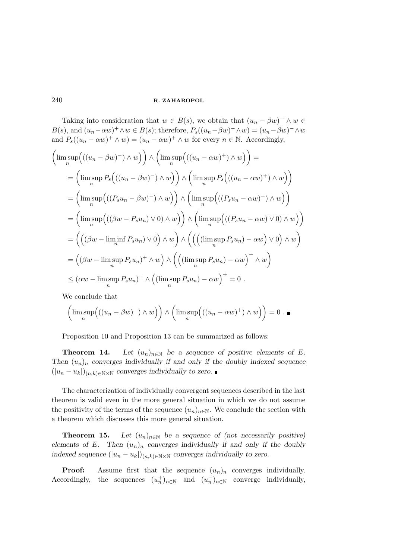Taking into consideration that  $w \in B(s)$ , we obtain that  $(u_n - \beta w)^- \wedge w \in$  $B(s)$ , and  $(u_n - \alpha w)^+ \wedge w \in B(s)$ ; therefore,  $P_s((u_n - \beta w)^- \wedge w) = (u_n - \beta w)^- \wedge w$ and  $P_s((u_n - \alpha w)^+ \wedge w) = (u_n - \alpha w)^+ \wedge w$  for every  $n \in \mathbb{N}$ . Accordingly,

$$
\left(\limsup_{n} \left( ((u_{n} - \beta w)^{-}) \wedge w \right) \right) \wedge \left( \limsup_{n} \left( ((u_{n} - \alpha w)^{+}) \wedge w \right) \right) =
$$
\n
$$
= \left( \limsup_{n} P_{s} \Big( ((u_{n} - \beta w)^{-}) \wedge w \Big) \Big) \wedge \left( \limsup_{n} P_{s} \Big( ((u_{n} - \alpha w)^{+}) \wedge w \Big) \right) \right)
$$
\n
$$
= \left( \limsup_{n} \Big( ((P_{s} u_{n} - \beta w)^{-}) \wedge w \Big) \Big) \wedge \left( \limsup_{n} \Big( ((P_{s} u_{n} - \alpha w)^{+}) \wedge w \Big) \right) \right)
$$
\n
$$
= \left( \limsup_{n} \Big( ((\beta w - P_{s} u_{n}) \vee 0) \wedge w \Big) \Big) \wedge \left( \limsup_{n} \Big( ((P_{s} u_{n} - \alpha w) \vee 0) \wedge w \Big) \right) \right)
$$
\n
$$
= \left( \Big( (\beta w - \liminf_{n} P_{s} u_{n}) \vee 0 \Big) \wedge w \right) \wedge \left( \Big( \Big( (\limsup_{n} P_{s} u_{n}) - \alpha w \Big) \vee 0 \Big) \wedge w \right)
$$
\n
$$
= \Big( (\beta w - \limsup_{n} P_{s} u_{n})^{+} \wedge w \Big) \wedge \left( \Big( (\limsup_{n} P_{s} u_{n}) - \alpha w \Big)^{+} \wedge w \right)
$$
\n
$$
\leq (\alpha w - \limsup_{n} P_{s} u_{n})^{+} \wedge \Big( (\limsup_{n} P_{s} u_{n}) - \alpha w \Big)^{+} = 0.
$$

We conclude that

$$
\left(\limsup_n \left( ((u_n - \beta w)^{-}) \wedge w \right) \right) \wedge \left( \limsup_n \left( ((u_n - \alpha w)^{+}) \wedge w \right) \right) = 0. \blacksquare
$$

Proposition 10 and Proposition 13 can be summarized as follows:

**Theorem 14.** Let  $(u_n)_{n\in\mathbb{N}}$  be a sequence of positive elements of E. Then  $(u_n)_n$  converges individually if and only if the doubly indexed sequence  $(|u_n - u_k|)_{(n,k)\in\mathbb{N}\times\mathbb{N}}$  converges individually to zero.

The characterization of individually convergent sequences described in the last theorem is valid even in the more general situation in which we do not assume the positivity of the terms of the sequence  $(u_n)_{n\in\mathbb{N}}$ . We conclude the section with a theorem which discusses this more general situation.

**Theorem 15.** Let  $(u_n)_{n\in\mathbb{N}}$  be a sequence of (not necessarily positive) elements of E. Then  $(u_n)_n$  converges individually if and only if the doubly indexed sequence  $(|u_n - u_k|)_{(n,k) \in \mathbb{N} \times \mathbb{N}}$  converges individually to zero.

**Proof:** Assume first that the sequence  $(u_n)_n$  converges individually. Accordingly, the sequences  $(u_n^+)_{n \in \mathbb{N}}$  and  $(u_n^-)_{n \in \mathbb{N}}$  converge individually,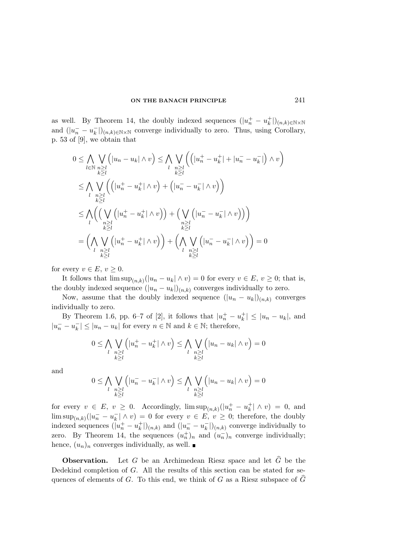as well. By Theorem 14, the doubly indexed sequences  $(|u_n^+ - u_k^+|)_{(n,k)\in\mathbb{N}\times\mathbb{N}}$ and  $(|u_n^- - u_k^-|)_{(n,k)\in\mathbb{N}\times\mathbb{N}}$  converge individually to zero. Thus, using Corollary, p. 53 of [9], we obtain that

$$
0 \leq \bigwedge_{l \in \mathbb{N}} \bigvee_{\substack{n \geq l \\ k \geq l}} \left( |u_n - u_k| \wedge v \right) \leq \bigwedge_{l} \bigvee_{\substack{n \geq l \\ k \geq l}} \left( \left( |u_n^+ - u_k^+| + |u_n^- - u_k^-| \right) \wedge v \right)
$$
  

$$
\leq \bigwedge_{l} \bigvee_{\substack{n \geq l \\ k \geq l}} \left( \left( |u_n^+ - u_k^+| \wedge v \right) + \left( |u_n^- - u_k^-| \wedge v \right) \right)
$$
  

$$
\leq \bigwedge_{l} \left( \bigvee_{\substack{n \geq l \\ k \geq l}} \left( |u_n^+ - u_k^+| \wedge v \right) \right) + \bigvee_{\substack{n \geq l \\ k \geq l}} \left( |u_n^- - u_k^-| \wedge v \right) \right)
$$
  

$$
= \left( \bigwedge_{l} \bigvee_{\substack{n \geq l \\ k \geq l}} \left( |u_n^+ - u_k^+| \wedge v \right) \right) + \left( \bigwedge_{\substack{n \geq l \\ l} \bigvee_{\substack{n \geq l \\ k \geq l}} \left( |u_n^- - u_k^-| \wedge v \right) \right) = 0
$$

for every  $v \in E$ ,  $v \geq 0$ .

It follows that  $\limsup_{(n,k)} (|u_n - u_k| \wedge v) = 0$  for every  $v \in E, v \geq 0$ ; that is, the doubly indexed sequence  $(|u_n - u_k|)_{(n,k)}$  converges individually to zero.

Now, assume that the doubly indexed sequence  $(|u_n - u_k|)_{(n,k)}$  converges individually to zero.

By Theorem 1.6, pp. 6–7 of [2], it follows that  $|u_n^+ - u_k^+| \le |u_n - u_k|$ , and  $|u_n^- - u_k^-| \le |u_n - u_k|$  for every  $n \in \mathbb{N}$  and  $k \in \mathbb{N}$ ; therefore,

$$
0 \leq \bigwedge_{\substack{l} \substack{n \geq l \\ k \geq l}} \left( |u_n^+ - u_k^+| \wedge v \right) \leq \bigwedge_{\substack{l} \substack{n \geq l \\ k \geq l}} \left( |u_n - u_k| \wedge v \right) = 0
$$

and

$$
0 \leq \bigwedge_l \bigvee_{\substack{n \geq l \\ k \geq l}} \left( |u_n^- - u_k^-| \wedge v \right) \leq \bigwedge_l \bigvee_{\substack{n \geq l \\ k \geq l}} \left( |u_n - u_k| \wedge v \right) = 0
$$

for every  $v \in E$ ,  $v \ge 0$ . Accordingly,  $\limsup_{(n,k)}(|u_n^+ - u_k^+| \wedge v) = 0$ , and  $\limsup_{(n,k)}(|u_n^- - u_k^-| \wedge v) = 0$  for every  $v \in E, v \geq 0$ ; therefore, the doubly indexed sequences  $(|u_n^+ - u_k^+|)_{(n,k)}$  and  $(|u_n^- - u_k^-|)_{(n,k)}$  converge individually to zero. By Theorem 14, the sequences  $(u_n^+)_n$  and  $(u_n^-)_n$  converge individually; hence,  $(u_n)_n$  converges individually, as well.

**Observation.** Let G be an Archimedean Riesz space and let  $\widehat{G}$  be the Dedekind completion of G. All the results of this section can be stated for sequences of elements of G. To this end, we think of G as a Riesz subspace of  $\hat{G}$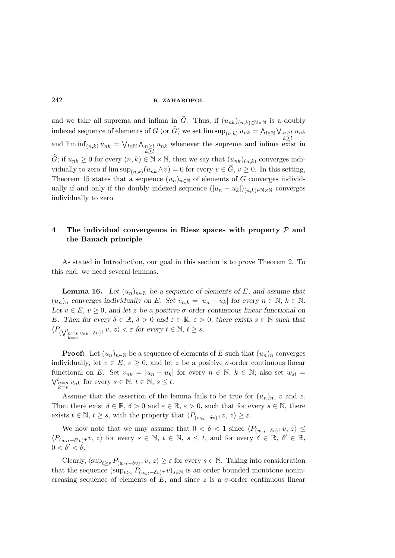and we take all suprema and infima in  $\hat{G}$ . Thus, if  $(u_{nk})_{(n,k)\in\mathbb{N}\times\mathbb{N}}$  is a doubly indexed sequence of elements of G (or  $\widehat{G}$ ) we set  $\limsup_{(n,k)} u_{nk} = \bigwedge_{l \in \mathbb{N}} \bigvee_{n \geq l}$  $k \geq l$  $u_{nk}$ and  $\liminf_{(n,k)} u_{nk} = \bigvee_{l \in \mathbb{N}} \bigwedge_{n \geq l}$  $k \geq l$  $u_{nk}$  whenever the suprema and infima exist in  $\widehat{G}$ ; if  $u_{nk} \geq 0$  for every  $(n, k) \in \mathbb{N} \times \mathbb{N}$ , then we say that  $(u_{nk})_{(n,k)}$  converges individually to zero if  $\limsup_{(n,k)} (u_{nk} \wedge v) = 0$  for every  $v \in G, v \ge 0$ . In this setting, Theorem 15 states that a sequence  $(u_n)_{n\in\mathbb{N}}$  of elements of G converges individually if and only if the doubly indexed sequence  $(|u_n - u_k|)_{(n,k)\in\mathbb{N}\times\mathbb{N}}$  converges individually to zero.

# $4$  – The individual convergence in Riesz spaces with property  $\mathcal P$  and the Banach principle

As stated in Introduction, our goal in this section is to prove Theorem 2. To this end, we need several lemmas.

**Lemma 16.** Let  $(u_n)_{n\in\mathbb{N}}$  be a sequence of elements of E, and assume that  $(u_n)_n$  converges individually on E. Set  $v_{n,k} = |u_n - u_k|$  for every  $n \in \mathbb{N}$ ,  $k \in \mathbb{N}$ . Let  $v \in E$ ,  $v > 0$ , and let z be a positive σ-order continuous linear functional on E. Then for every  $\delta \in \mathbb{R}$ ,  $\delta > 0$  and  $\varepsilon \in \mathbb{R}$ ,  $\varepsilon > 0$ , there exists  $s \in \mathbb{N}$  such that  $\langle P_{(\bigvee_{k=s}^{t} v_{nk}-\delta v)^{+}} v, z \rangle < \varepsilon$  for every  $t \in \mathbb{N}, t \geq s$ .

**Proof:** Let  $(u_n)_{n\in\mathbb{N}}$  be a sequence of elements of E such that  $(u_n)_n$  converges individually, let  $v \in E$ ,  $v \geq 0$ , and let z be a positive  $\sigma$ -order continuous linear functional on E. Set  $v_{nk} = |u_n - u_k|$  for every  $n \in \mathbb{N}$ ,  $k \in \mathbb{N}$ ; also set  $w_{st} =$  $\bigvee_{\substack{k=s \ k \in s}}^t v_{nk}$  for every  $s \in \mathbb{N}, t \in \mathbb{N}, s \leq t$ .

Assume that the assertion of the lemma fails to be true for  $(u_n)_n$ , v and z. Then there exist  $\delta \in \mathbb{R}, \delta > 0$  and  $\varepsilon \in \mathbb{R}, \varepsilon > 0$ , such that for every  $s \in \mathbb{N}$ , there exists  $t \in \mathbb{N}, t \geq s$ , with the property that  $\langle P_{(w_{st}-\delta v)^+}v, z \rangle \geq \varepsilon$ .

We now note that we may assume that  $0 < \delta < 1$  since  $\langle P_{(w_{st}-\delta v)^+}v, z \rangle \le$  $\langle P_{(w_{st}-\delta' v)^+}v, z \rangle$  for every  $s \in \mathbb{N}, t \in \mathbb{N}, s \leq t$ , and for every  $\delta \in \mathbb{R}, \delta' \in \mathbb{R}$ ,  $0 < \delta' < \delta$ .

Clearly,  $\langle \sup_{t>s} P_{(w_{st}-\delta v)^+} v, z \rangle \geq \varepsilon$  for every  $s \in \mathbb{N}$ . Taking into consideration that the sequence  $(\sup_{t>s} P_{(w_{st}-\delta v)^+}v)_{s\in\mathbb{N}}$  is an order bounded monotone nonincreasing sequence of elements of E, and since z is a  $\sigma$ -order continuous linear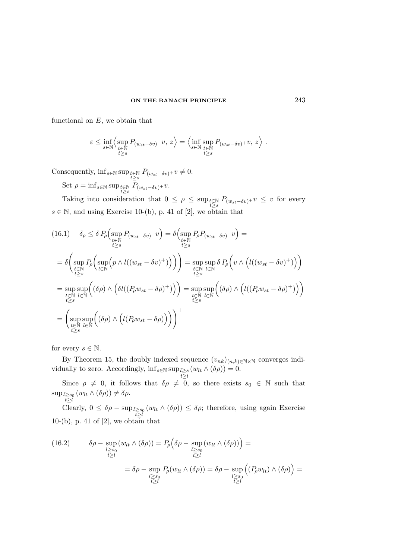functional on  $E$ , we obtain that

$$
\varepsilon \le \inf_{s \in \mathbb{N}} \left\langle \sup_{\substack{t \in \mathbb{N} \\ t \ge s}} P_{(w_{st} - \delta v)^+} v, z \right\rangle = \left\langle \inf_{s \in \mathbb{N}} \sup_{\substack{t \in \mathbb{N} \\ t \ge s}} P_{(w_{st} - \delta v)^+} v, z \right\rangle.
$$

Consequently,  $\inf_{s \in \mathbb{N}} \sup_{t \in \mathbb{N}} P_{(w_{st}-\delta v)^+} v \neq 0.$ Set  $\rho = \inf_{s \in \mathbb{N}} \sup_{t \ge s} P_{(w_{st}-\delta v)^+} v.$ 

Taking into consideration that  $0 \leq \rho \leq \sup_{t \geq s} P_{(w_{st}-\delta v)^+} v \leq v$  for every  $s \in \mathbb{N}$ , and using Exercise 10-(b), p. 41 of [2], we obtain that

$$
(16.1) \quad \delta_{\rho} \leq \delta P_{\rho} \Big( \sup_{\substack{t \in \mathbb{N} \\ t \geq s}} P_{(w_{st} - \delta v)^{+}} v \Big) = \delta \Big( \sup_{\substack{t \in \mathbb{N} \\ t \geq s}} P_{\rho} P_{(w_{st} - \delta v)^{+}} v \Big) =
$$
\n
$$
= \delta \Big( \sup_{\substack{t \in \mathbb{N} \\ t \geq s}} P_{\rho} \Big( \sup_{l \in \mathbb{N}} \Big( p \wedge l((w_{st} - \delta v)^{+}) \Big) \Big) \Big) = \sup_{\substack{t \in \mathbb{N} \\ t \geq s}} \sup_{l \in \mathbb{N}} \delta P_{\rho} \Big( v \wedge \Big( l((w_{st} - \delta v)^{+}) \Big) \Big)
$$
\n
$$
= \sup_{\substack{t \in \mathbb{N} \\ t \geq s}} \sup_{l \in \mathbb{N}} \Big( (\delta \rho) \wedge \Big( \delta l((P_{\rho} w_{st} - \delta \rho)^{+}) \Big) \Big) = \sup_{\substack{t \in \mathbb{N} \\ t \geq s}} \sup_{l \in \mathbb{N}} \Big( (\delta \rho) \wedge \Big( l((P_{\rho} w_{st} - \delta \rho)^{+}) \Big) \Big)
$$
\n
$$
= \Big( \sup_{\substack{t \in \mathbb{N} \\ t \geq s}} \sup_{l \in \mathbb{N}} \Big( (\delta \rho) \wedge \Big( l(P_{\rho} w_{st} - \delta \rho) \Big) \Big) \Big) +
$$

for every  $s \in \mathbb{N}$ .

By Theorem 15, the doubly indexed sequence  $(v_{nk})_{(n,k)\in\mathbb{N}\times\mathbb{N}}$  converges individually to zero. Accordingly,  $\inf_{s \in \mathbb{N}} \sup_{t \geq l}$  $(w_{lt} \wedge (\delta \rho)) = 0.$ 

Since  $\rho \neq 0$ , it follows that  $\delta \rho \neq 0$ , so there exists  $s_0 \in \mathbb{N}$  such that  $\sup_{t\geq s_0}$  $(w_{lt} \wedge (\delta \rho)) \neq \delta \rho.$ 

Clearly,  $0 \leq \delta \rho - \sup_{l \geq s_0} l \geq s_0$  $(w_{lt} \wedge (\delta \rho)) \leq \delta \rho$ ; therefore, using again Exercise  $10-(b)$ , p. 41 of  $[2]$ , we obtain that

(16.2) 
$$
\delta \rho - \sup_{\substack{l \ge s_0 \\ t \ge l}} (w_{lt} \wedge (\delta \rho)) = P_{\rho} \Big( \delta \rho - \sup_{\substack{l \ge s_0 \\ t \ge l}} (w_{lt} \wedge (\delta \rho)) \Big) =
$$

$$
= \delta \rho - \sup_{\substack{l \ge s_0 \\ t \ge l}} P_{\rho} (w_{lt} \wedge (\delta \rho)) = \delta \rho - \sup_{\substack{l \ge s_0 \\ t \ge l}} \Big( (P_{\rho} w_{lt}) \wedge (\delta \rho) \Big) =
$$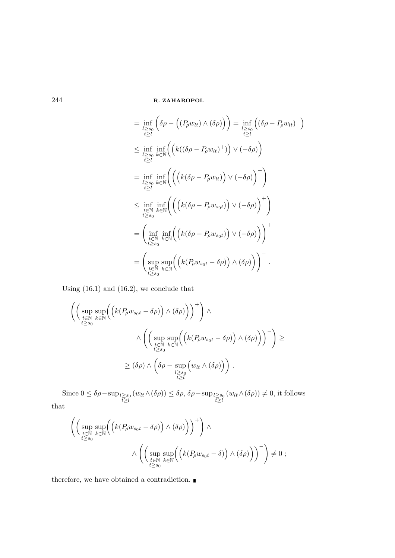$$
= \inf_{\substack{l\geq s_0 \\ t\geq l}} \left( \delta \rho - \left( (P_\rho w_{lt}) \wedge (\delta \rho) \right) \right) = \inf_{\substack{l\geq s_0 \\ t\geq l}} \left( (\delta \rho - P_\rho w_{lt})^+ \right)
$$
  
\n
$$
\leq \inf_{\substack{l\geq s_0 \\ t\geq l}} \inf_{k\in\mathbb{N}} \left( \left( k((\delta \rho - P_\rho w_{lt})^+) \right) \vee (-\delta \rho) \right)
$$
  
\n
$$
= \inf_{\substack{l\geq s_0 \\ t\geq l}} \inf_{k\in\mathbb{N}} \left( \left( \left( k(\delta \rho - P_\rho w_{lt}) \right) \vee (-\delta \rho) \right)^+ \right)
$$
  
\n
$$
\leq \inf_{\substack{t\in\mathbb{N} \\ t\geq s_0}} \inf_{k\in\mathbb{N}} \left( \left( \left( k(\delta \rho - P_\rho w_{s_0t}) \right) \vee (-\delta \rho) \right)^+ \right)
$$
  
\n
$$
= \left( \inf_{\substack{t\in\mathbb{N} \\ t\geq s_0}} \inf_{k\in\mathbb{N}} \left( \left( k(\delta \rho - P_\rho w_{s_0t}) \right) \vee (-\delta \rho) \right) \right)^+
$$
  
\n
$$
= \left( \sup_{\substack{t\in\mathbb{N} \\ t\geq s_0}} \sup_{k\in\mathbb{N}} \left( \left( k(P_\rho w_{s_0t} - \delta \rho) \right) \wedge (\delta \rho) \right) \right)^-.
$$

Using (16.1) and (16.2), we conclude that

$$
\left( \left( \sup_{\substack{t \in \mathbb{N} \\ t \ge s_0}} \sup_{k \in \mathbb{N}} \left( \left( k(P_\rho w_{s_0 t} - \delta \rho) \right) \wedge (\delta \rho) \right) \right)^+ \right) \wedge \\ \wedge \left( \left( \sup_{\substack{t \in \mathbb{N} \\ t \ge s_0}} \sup_{k \in \mathbb{N}} \left( \left( k(P_\rho w_{s_0 t} - \delta \rho) \right) \wedge (\delta \rho) \right) \right)^- \right) \ge \\ \ge (\delta \rho) \wedge \left( \delta \rho - \sup_{\substack{l \ge s_0 \\ t \ge l}} \left( w_{lt} \wedge (\delta \rho) \right) \right).
$$

Since  $0 \leq \delta \rho - \sup_{\substack{l \geq s_0 \\ l \geq l}} (w_{lt} \wedge (\delta \rho)) \leq \delta \rho, \delta \rho - \sup_{\substack{l \geq s_0 \\ l \geq l}}$  $(w_{lt} \land (\delta \rho)) \neq 0$ , it follows that

$$
\left( \left( \sup_{\substack{t \in \mathbb{N} \\ t \ge s_0}} \sup_{k \in \mathbb{N}} \left( \left( k(P_\rho w_{s_0 t} - \delta \rho) \right) \wedge (\delta \rho) \right) \right)^+ \right) \wedge \\ \wedge \left( \left( \sup_{\substack{t \in \mathbb{N} \\ t \ge s_0}} \sup_{k \in \mathbb{N}} \left( \left( k(P_\rho w_{s_0 t} - \delta) \right) \wedge (\delta \rho) \right) \right)^- \right) \neq 0 ;
$$

therefore, we have obtained a contradiction.  $\blacksquare$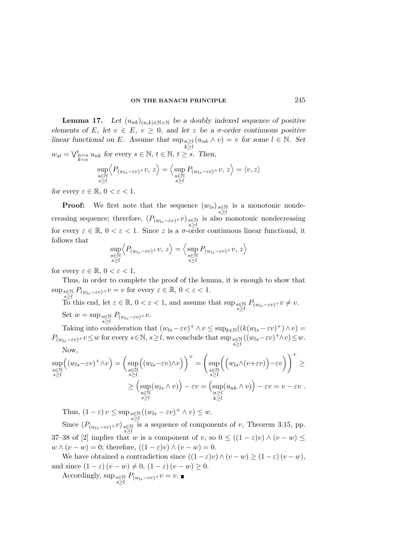**Lemma 17.** Let  $(u_{nk})_{(n,k)\in\mathbb{N}\times\mathbb{N}}$  be a doubly indexed sequence of positive elements of E, let  $v \in E$ ,  $v \geq 0$ , and let z be a  $\sigma$ -order continuous positive linear functional on E. Assume that  $\sup_{n\geq l} (u_{nk} \wedge v) = v$  for some  $l \in \mathbb{N}$ . Set  $k \geq l$  $w_{st} = \bigvee_{k=s}^{t} u_{nk}$  for every  $s \in \mathbb{N}, t \in \mathbb{N}, t \geq s$ . Then,

$$
\sup_{\substack{s\in\mathbb{N}\\s\geq l}}\Big\langle P_{(w_{ls}-\varepsilon v)^+}v,\,z\Big\rangle=\Big\langle\sup_{\substack{s\in\mathbb{N}\\s\geq l}}P_{(w_{ls}-\varepsilon v)^+}v,\,z\Big\rangle=\langle v,z\rangle
$$

for every  $\varepsilon \in \mathbb{R}$ ,  $0 < \varepsilon < 1$ .

**Proof:** We first note that the sequence  $(w_{ls})_{s \in \mathbb{N}}$  is a monotonic nondes≥l creasing sequence; therefore,  $(P_{(w_{ls}-\varepsilon v)^+}v)_{\substack{s\in\mathbb{N}\\s\geq l}}$ is also monotonic nondecreasing for every  $\varepsilon \in \mathbb{R}$ ,  $0 < \varepsilon < 1$ . Since z is a  $\sigma$ -order continuous linear functional, it follows that

$$
\sup_{\substack{s\in\mathbb{N}\\s\geq l}}\Bigl\langle P_{(w_{ls}-\varepsilon v)^+}v,\,z\Bigr\rangle=\Bigl\langle\sup_{\substack{s\in\mathbb{N}\\s\geq l}}P_{(w_{ls}-\varepsilon v)^+}v,\,z\Bigr\rangle
$$

for every  $\varepsilon \in \mathbb{R}$ ,  $0 < \varepsilon < 1$ .

Thus, in order to complete the proof of the lemma, it is enough to show that  $\sup_{s\in\mathbb{N}} P_{(w_{ls}-\varepsilon v)^+}v=v$  for every  $\varepsilon\in\mathbb{R}$ ,  $0<\varepsilon<1$ .

 $s \ge l$  and  $\sum_{s \ge l}$  if  $\sum_{s \in \mathbb{R}} P_{(w_{ls}-\varepsilon v)^+} v \neq v$ . Set  $w = \sup_{s \geq 1} P_{(w_{ls}-\varepsilon v)^+} v.$ 

Taking into consideration that  $(w_{ls} - \varepsilon v)^+ \wedge v \leq \sup_{k \in \mathbb{N}} ((k(w_{ls} - \varepsilon v)^+) \wedge v) =$  $P_{(w_{ls}-\varepsilon v)^+}v \leq w$  for every  $s \in \mathbb{N}, s \geq l$ , we conclude that  $\sup_{s \geq l} s \in \mathbb{N}} ((w_{ls}-\varepsilon v)^+ \wedge v) \leq w$ . Now,

$$
\sup_{\substack{s\in\mathbb{N}\\s\geq l}}\left((w_{ls}-\varepsilon v)^+\wedge v\right)=\left(\sup_{\substack{s\in\mathbb{N}\\s\geq l}}\left((w_{ls}-\varepsilon v)\wedge v\right)\right)^+=\left(\sup_{\substack{s\in\mathbb{N}\\s\geq l}}\left(\left(w_{ls}\wedge(v+\varepsilon v)\right)-\varepsilon v\right)\right)^+\geq
$$

$$
\geq \left(\sup_{\substack{s\in\mathbb{N}\\s\geq l}}\left(w_{ls}\wedge v\right)-\varepsilon v=\left(\sup_{\substack{n\geq l\\k\geq l}}\left(u_{nk}\wedge v\right)\right)-\varepsilon v=v-\varepsilon v.
$$

Thus,  $(1 - \varepsilon) v \le \sup_{\substack{s \ge N \\ s \ge l}} ((w_{ls} - \varepsilon v)^+ \wedge v) \le w.$ Since  $(P_{(w_{ls}-\varepsilon v)^+}v)_{\substack{s\in\mathbb{N}\s\geq l}}$ is a sequence of components of  $v$ , Theorem 3.15, pp. 37–38 of [2] implies that w is a component of v, so  $0 \leq ((1 - \varepsilon)v) \wedge (v - w) \leq$  $w \wedge (v - w) = 0$ ; therefore,  $((1 - \varepsilon)v) \wedge (v - w) = 0$ .

We have obtained a contradiction since  $((1 - \varepsilon)v) \wedge (v - w) \ge (1 - \varepsilon)(v - w)$ , and since  $(1 - \varepsilon)(v - w) \neq 0$ ,  $(1 - \varepsilon)(v - w) \geq 0$ .

Accordingly,  $\sup_{s\geq l} P_{(w_{ls}-\varepsilon v)^+}v = v.$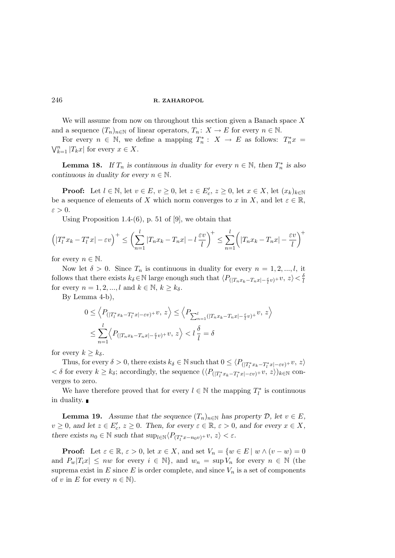We will assume from now on throughout this section given a Banach space  $X$ and a sequence  $(T_n)_{n\in\mathbb{N}}$  of linear operators,  $T_n: X \to E$  for every  $n \in \mathbb{N}$ .

For every  $n \in \mathbb{N}$ , we define a mapping  $T_n^* : X \to E$  as follows:  $T_n^* x =$  $\bigvee_{k=1}^{n} |T_k x|$  for every  $x \in X$ .

**Lemma 18.** If  $T_n$  is continuous in duality for every  $n \in \mathbb{N}$ , then  $T_n^*$  is also continuous in duality for every  $n \in \mathbb{N}$ .

**Proof:** Let  $l \in \mathbb{N}$ , let  $v \in E$ ,  $v \ge 0$ , let  $z \in E'_c$ ,  $z \ge 0$ , let  $x \in X$ , let  $(x_k)_{k \in \mathbb{N}}$ be a sequence of elements of X which norm converges to x in X, and let  $\varepsilon \in \mathbb{R}$ ,  $\varepsilon > 0$ .

Using Proposition 1.4- $(6)$ , p. 51 of [9], we obtain that

$$
\left(|T_l^*x_k - T_l^*x| - \varepsilon v\right)^+ \le \left(\sum_{n=1}^l |T_nx_k - T_nx| - l\frac{\varepsilon v}{l}\right)^+ \le \sum_{n=1}^l \left(|T_nx_k - T_nx| - \frac{\varepsilon v}{l}\right)^+
$$

for every  $n \in \mathbb{N}$ .

Now let  $\delta > 0$ . Since  $T_n$  is continuous in duality for every  $n = 1, 2, ..., l$ , it follows that there exists  $k_\delta \in \mathbb{N}$  large enough such that  $\langle P_{(|T_n x_k-T_n x|-\frac{\varepsilon}{l}v)}+v, z\rangle < \frac{\delta}{l}$ l for every  $n = 1, 2, ..., l$  and  $k \in \mathbb{N}, k \geq k_{\delta}$ .

By Lemma 4-b),

$$
0 \le \left\langle P_{\left(\left|T_{l}^{*}x_{k}-T_{l}^{*}x\right|-\varepsilon v\right)}+v, z\right\rangle \le \left\langle P_{\sum_{n=1}^{l}(\left|T_{n}x_{k}-T_{n}x\right|-\frac{\varepsilon}{l}v)}+v, z\right\rangle
$$
  

$$
\le \sum_{n=1}^{l} \left\langle P_{\left(\left|T_{n}x_{k}-T_{n}x\right|-\frac{\varepsilon}{l}v\right)}+v, z\right\rangle < l \frac{\delta}{l} = \delta
$$

for every  $k \geq k_{\delta}$ .

Thus, for every  $\delta > 0$ , there exists  $k_{\delta} \in \mathbb{N}$  such that  $0 \leq \langle P_{\left(\left|T^*_{l} x_{k}-T^*_{l} x\right|-\varepsilon v\right)}+v, z\rangle$  $<\delta$  for every  $k \geq k_{\delta}$ ; accordingly, the sequence  $(\langle P_{(|T_l^*x_k-T_l^*x|-\varepsilon v)^+}v, z \rangle)_{k \in \mathbb{N}}$  converges to zero.

We have therefore proved that for every  $l \in \mathbb{N}$  the mapping  $T_l^*$  is continuous in duality.

**Lemma 19.** Assume that the sequence  $(T_n)_{n\in\mathbb{N}}$  has property  $\mathcal{D}$ , let  $v \in E$ ,  $v \geq 0$ , and let  $z \in E'_c$ ,  $z \geq 0$ . Then, for every  $\varepsilon \in \mathbb{R}$ ,  $\varepsilon > 0$ , and for every  $x \in X$ , there exists  $n_0 \in \mathbb{N}$  such that  $\sup_{l \in \mathbb{N}} \langle P_{(T_l^* x - n_0 v)} + v, z \rangle < \varepsilon$ .

**Proof:** Let  $\varepsilon \in \mathbb{R}$ ,  $\varepsilon > 0$ , let  $x \in X$ , and set  $V_n = \{w \in E \mid w \wedge (v - w) = 0\}$ and  $P_w|T_ix| \leq nw$  for every  $i \in \mathbb{N}$ , and  $w_n = \sup V_n$  for every  $n \in \mathbb{N}$  (the suprema exist in E since E is order complete, and since  $V_n$  is a set of components of v in E for every  $n \in \mathbb{N}$ .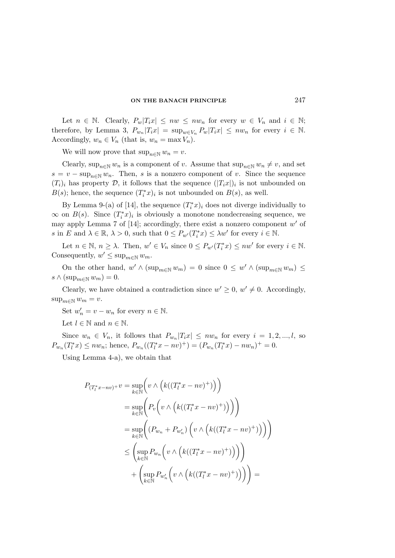Let  $n \in \mathbb{N}$ . Clearly,  $P_w|T_ix| \leq nw \leq nw_n$  for every  $w \in V_n$  and  $i \in \mathbb{N}$ ; therefore, by Lemma 3,  $P_{w_n}|T_ix| = \sup_{w \in V_n} P_w|T_ix| \leq nw_n$  for every  $i \in \mathbb{N}$ . Accordingly,  $w_n \in V_n$  (that is,  $w_n = \max V_n$ ).

We will now prove that  $\sup_{n\in\mathbb{N}} w_n = v$ .

Clearly,  $\sup_{n\in\mathbb{N}} w_n$  is a component of v. Assume that  $\sup_{n\in\mathbb{N}} w_n \neq v$ , and set  $s = v - \sup_{n \in \mathbb{N}} w_n$ . Then, s is a nonzero component of v. Since the sequence  $(T_i)_i$  has property D, it follows that the sequence  $(|T_ix|)_i$  is not unbounded on  $B(s)$ ; hence, the sequence  $(T_i^*x)_i$  is not unbounded on  $B(s)$ , as well.

By Lemma 9-(a) of [14], the sequence  $(T_i^*x)_i$  does not diverge individually to  $\infty$  on  $B(s)$ . Since  $(T_i^*x)_i$  is obviously a monotone nondecreasing sequence, we may apply Lemma 7 of [14]; accordingly, there exist a nonzero component  $w'$  of s in E and  $\lambda \in \mathbb{R}$ ,  $\lambda > 0$ , such that  $0 \le P_{w'}(T_i^*x) \le \lambda w'$  for every  $i \in \mathbb{N}$ .

Let  $n \in \mathbb{N}$ ,  $n \geq \lambda$ . Then,  $w' \in V_n$  since  $0 \leq P_{w'}(T_i^*x) \leq nw'$  for every  $i \in \mathbb{N}$ . Consequently,  $w' \leq \sup_{m \in \mathbb{N}} w_m$ .

On the other hand,  $w' \wedge (\sup_{m \in \mathbb{N}} w_m) = 0$  since  $0 \leq w' \wedge (\sup_{m \in \mathbb{N}} w_m) \leq$  $s \wedge (\sup_{m \in \mathbb{N}} w_m) = 0.$ 

Clearly, we have obtained a contradiction since  $w' \geq 0$ ,  $w' \neq 0$ . Accordingly,  $\sup_{m\in\mathbb{N}} w_m = v.$ 

Set  $w'_n = v - w_n$  for every  $n \in \mathbb{N}$ .

Let  $l \in \mathbb{N}$  and  $n \in \mathbb{N}$ .

Since  $w_n \in V_n$ , it follows that  $P_{w_n}|T_ix| \leq nw_n$  for every  $i = 1, 2, ..., l$ , so  $P_{w_n}(T_l^*x) \leq nw_n$ ; hence,  $P_{w_n}((T_l^*x - nv)^+) = (P_{w_n}(T_l^*x) - nw_n)^+ = 0$ .

Using Lemma 4-a), we obtain that

$$
P_{(T_l^*x - nv)^+}v = \sup_{k \in \mathbb{N}} \left( v \wedge \left( k((T_l^*x - nv)^+) \right) \right)
$$
  
\n
$$
= \sup_{k \in \mathbb{N}} \left( P_v \left( v \wedge \left( k((T_l^*x - nv)^+) \right) \right) \right)
$$
  
\n
$$
= \sup_{k \in \mathbb{N}} \left( (P_{w_n} + P_{w_n'}) \left( v \wedge \left( k((T_l^*x - nv)^+) \right) \right) \right)
$$
  
\n
$$
\leq \left( \sup_{k \in \mathbb{N}} P_{w_n} \left( v \wedge \left( k((T_l^*x - nv)^+) \right) \right) \right)
$$
  
\n
$$
+ \left( \sup_{k \in \mathbb{N}} P_{w_n'} \left( v \wedge \left( k((T_l^*x - nv)^+) \right) \right) \right) =
$$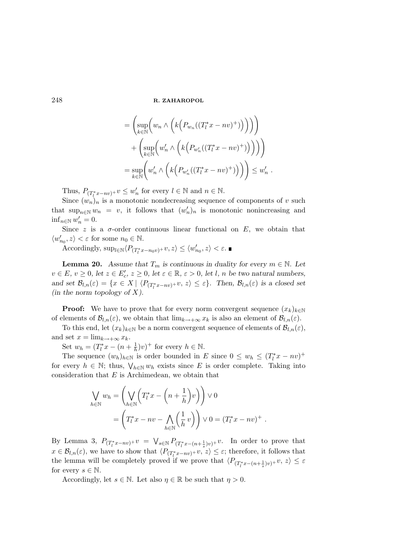$$
= \left(\sup_{k \in \mathbb{N}} \left( w_n \wedge \left( k \Big( P_{w_n}((T_l^*x - nv)^+) \Big) \Big) \right) \right) + \left( \sup_{k \in \mathbb{N}} \left( w'_n \wedge \left( k \Big( P_{w'_n}((T_l^*x - nv)^+) \Big) \right) \right) \right) \right) = \sup_{k \in \mathbb{N}} \left( w'_n \wedge \left( k \Big( P_{w'_n}((T_l^*x - nv)^+) \Big) \right) \right) \leq w'_n .
$$

Thus,  $P_{(T_l^*x-nv)^+}v \leq w'_n$  for every  $l \in \mathbb{N}$  and  $n \in \mathbb{N}$ .

Since  $(w_n)_n$  is a monotonic nondecreasing sequence of components of v such that  $\sup_{n\in\mathbb{N}} w_n = v$ , it follows that  $(w'_n)_n$  is monotonic nonincreasing and  $\inf_{n\in\mathbb{N}}w'_n=0.$ 

Since z is a  $\sigma$ -order continuous linear functional on E, we obtain that  $\langle w'_{n_0}, z \rangle < \varepsilon$  for some  $n_0 \in \mathbb{N}$ .

Accordingly,  $\sup_{l \in \mathbb{N}} \langle P_{(T_l^* x - n_0 v)} + v, z \rangle \le \langle w'_{n_0}, z \rangle < \varepsilon$ .

**Lemma 20.** Assume that  $T_m$  is continuous in duality for every  $m \in \mathbb{N}$ . Let  $v \in E, v \ge 0$ , let  $z \in E'_c, z \ge 0$ , let  $\varepsilon \in \mathbb{R}, \varepsilon > 0$ , let l, n be two natural numbers, and set  $\mathcal{B}_{l,n}(\varepsilon) = \{x \in X \mid \langle P_{(T_l^*x - nv)^+}v, z \rangle \leq \varepsilon\}$ . Then,  $\mathcal{B}_{l,n}(\varepsilon)$  is a closed set (in the norm topology of  $X$ ).

**Proof:** We have to prove that for every norm convergent sequence  $(x_k)_{k\in\mathbb{N}}$ of elements of  $\mathcal{B}_{l,n}(\varepsilon)$ , we obtain that  $\lim_{k\to+\infty}x_k$  is also an element of  $\mathcal{B}_{l,n}(\varepsilon)$ .

To this end, let  $(x_k)_{k\in\mathbb{N}}$  be a norm convergent sequence of elements of  $\mathcal{B}_{l,n}(\varepsilon)$ , and set  $x = \lim_{k \to +\infty} x_k$ .

Set  $w_h = (T_l^*x - (n + \frac{1}{h})v)^+$  for every  $h \in \mathbb{N}$ .

The sequence  $(w_h)_{h \in \mathbb{N}}$  is order bounded in E since  $0 \leq w_h \leq (T_l^*x - nv)^+$ for every  $h \in \mathbb{N}$ ; thus,  $\bigvee_{h \in \mathbb{N}} w_h$  exists since E is order complete. Taking into consideration that  $E$  is Archimedean, we obtain that

$$
\bigvee_{h \in \mathbb{N}} w_h = \left( \bigvee_{h \in \mathbb{N}} \left( T_l^* x - \left( n + \frac{1}{h} \right) v \right) \right) \vee 0
$$
  
= 
$$
\left( T_l^* x - n v - \bigwedge_{h \in \mathbb{N}} \left( \frac{1}{h} v \right) \right) \vee 0 = (T_l^* x - n v)^+ .
$$

By Lemma 3,  $P_{(T_l^*x-nv)^+}v = \bigvee_{s\in\mathbb{N}} P_{(T_l^*x-(n+\frac{1}{s})v)^+}v$ . In order to prove that  $x \in \mathcal{B}_{l,n}(\varepsilon)$ , we have to show that  $\langle P_{(T_l^*x-nv)^+}v, z \rangle \leq \varepsilon$ ; therefore, it follows that the lemma will be completely proved if we prove that  $\langle P_{(T_l^*x-(n+\frac{1}{s})v)^+}v, z \rangle \leq \varepsilon$ for every  $s \in \mathbb{N}$ .

Accordingly, let  $s \in \mathbb{N}$ . Let also  $\eta \in \mathbb{R}$  be such that  $\eta > 0$ .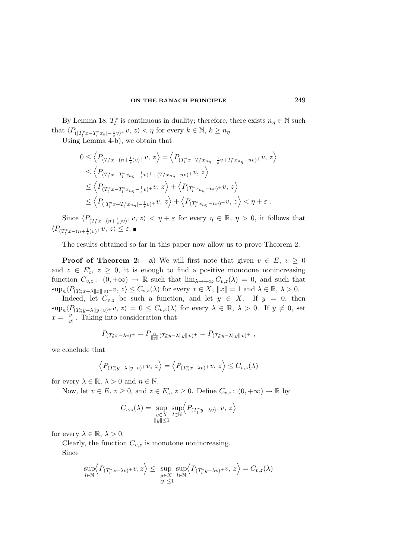By Lemma 18,  $T_l^*$  is continuous in duality; therefore, there exists  $n_\eta \in \mathbb{N}$  such that  $\langle P_{(|T_l^*x-T_l^*x_k|-\frac{1}{s}v)^+}v, z \rangle < \eta$  for every  $k \in \mathbb{N}, k \ge n_\eta$ .

Using Lemma 4-b), we obtain that

$$
0 \leq \left\langle P_{(T_l^*x - (n + \frac{1}{s})v)^+}v, z \right\rangle = \left\langle P_{(T_l^*x - T_l^*x_{n\eta} - \frac{1}{s}v + T_l^*x_{n\eta} - nv)^+}v, z \right\rangle
$$
  
\n
$$
\leq \left\langle P_{(T_l^*x - T_l^*x_{n\eta} - \frac{1}{s}v)^+ + (T_l^*x_{n\eta} - nv)^+}v, z \right\rangle
$$
  
\n
$$
\leq \left\langle P_{(T_l^*x - T_l^*x_{n\eta} - \frac{1}{s}v)^+}v, z \right\rangle + \left\langle P_{(T_l^*x_{n\eta} - nv)^+}v, z \right\rangle
$$
  
\n
$$
\leq \left\langle P_{((T_l^*x - T_l^*x_{n\eta} - \frac{1}{s}v)^+}v, z \right\rangle + \left\langle P_{(T_l^*x_{n\eta} - nv)^+}v, z \right\rangle < \eta + \varepsilon.
$$

Since  $\langle P_{(T_l^*x-(n+\frac{1}{s})v)^+}v, z\rangle < \eta + \varepsilon$  for every  $\eta \in \mathbb{R}, \eta > 0$ , it follows that  $\langle P_{(T_l^*x-(n+\frac{1}{s})v)^+}v, z\rangle \leq \varepsilon.$ 

The results obtained so far in this paper now allow us to prove Theorem 2.

**Proof of Theorem 2:** a) We will first note that given  $v \in E$ ,  $v \ge 0$ and  $z \in E'_c, z \geq 0$ , it is enough to find a positive monotone nonincreasing function  $C_{v,z}$ :  $(0, +\infty) \to \mathbb{R}$  such that  $\lim_{\lambda \to +\infty} C_{v,z}(\lambda) = 0$ , and such that  $\sup_n \langle P_{(T_n^*x-\lambda||x||\nu)^+}v, z\rangle \leq C_{v,z}(\lambda)$  for every  $x \in X$ ,  $||x|| = 1$  and  $\lambda \in \mathbb{R}, \lambda > 0$ .

Indeed, let  $C_{v,z}$  be such a function, and let  $y \in X$ . If  $y = 0$ , then  $\sup_n\langle P_{(T^*_ny-\lambda\|y\|v)^+}v,z\rangle=0\leq C_{v,z}(\lambda)$  for every  $\lambda\in\mathbb{R},\ \lambda>0.$  If  $y\neq 0$ , set  $x=\frac{y}{\ln y}$  $\frac{y}{\|y\|}$ . Taking into consideration that

$$
P_{(T_n^*x - \lambda v)^+} = P_{\frac{n}{\|y\|}(T_n^*y - \lambda \|y\| v)^+} = P_{(T_n^*y - \lambda \|y\| v)^+} ,
$$

we conclude that

$$
\left\langle P_{(T_n^*y - \lambda \|y\| \, v)^+}v, \, z \right\rangle = \left\langle P_{(T_n^*x - \lambda v)^+}v, \, z \right\rangle \leq C_{v,z}(\lambda)
$$

for every  $\lambda \in \mathbb{R}, \lambda > 0$  and  $n \in \mathbb{N}$ .

Now, let  $v \in E$ ,  $v \ge 0$ , and  $z \in E'_c$ ,  $z \ge 0$ . Define  $C_{v,z}$ :  $(0, +\infty) \to \mathbb{R}$  by

$$
C_{v,z}(\lambda) = \sup_{\substack{y \in X \\ \|y\| \le 1}} \sup_{l \in \mathbb{N}} \left\langle P_{(T_l^* y - \lambda v)^+} v, z \right\rangle
$$

for every  $\lambda \in \mathbb{R}, \lambda > 0$ .

Clearly, the function  $C_{v,z}$  is monotone nonincreasing. Since

$$
\sup_{l \in \mathbb{N}} \left\langle P_{(T_l^*x - \lambda v)^+}v, z \right\rangle \le \sup_{\substack{y \in X \\ \|y\| \le 1}} \sup_{l \in \mathbb{N}} \left\langle P_{(T_l^*y - \lambda v)^+}v, z \right\rangle = C_{v,z}(\lambda)
$$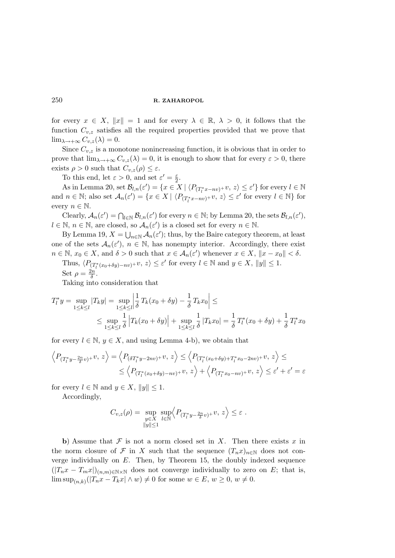for every  $x \in X$ ,  $||x|| = 1$  and for every  $\lambda \in \mathbb{R}$ ,  $\lambda > 0$ , it follows that the function  $C_{v,z}$  satisfies all the required properties provided that we prove that  $\lim_{\lambda \to +\infty} C_{v,z}(\lambda) = 0.$ 

Since  $C_{v,z}$  is a monotone nonincreasing function, it is obvious that in order to prove that  $\lim_{\lambda \to +\infty} C_{v,z}(\lambda) = 0$ , it is enough to show that for every  $\varepsilon > 0$ , there exists  $\rho > 0$  such that  $C_{v,z}(\rho) \leq \varepsilon$ .

To this end, let  $\varepsilon > 0$ , and set  $\varepsilon' = \frac{\varepsilon}{2}$  $\frac{\varepsilon}{2}$ .

As in Lemma 20, set  $\mathcal{B}_{l,n}(\varepsilon') = \{x \in X \mid \langle P_{(T_l^*x - nv)^+} v, z \rangle \leq \varepsilon' \}$  for every  $l \in \mathbb{N}$ and  $n \in \mathbb{N}$ ; also set  $\mathcal{A}_n(\varepsilon') = \{x \in X \mid \langle P_{(T_l^*x - nv)^+} v, z \rangle \le \varepsilon'$  for every  $l \in \mathbb{N}\}$  for every  $n \in \mathbb{N}$ .

Clearly,  $\mathcal{A}_n(\varepsilon') = \bigcap_{l \in \mathbb{N}} \mathcal{B}_{l,n}(\varepsilon')$  for every  $n \in \mathbb{N}$ ; by Lemma 20, the sets  $\mathcal{B}_{l,n}(\varepsilon')$ ,  $l \in \mathbb{N}, n \in \mathbb{N}$ , are closed, so  $\mathcal{A}_n(\varepsilon')$  is a closed set for every  $n \in \mathbb{N}$ .

By Lemma 19,  $X = \bigcup_{n \in \mathbb{N}} A_n(\varepsilon')$ ; thus, by the Baire category theorem, at least one of the sets  $A_n(\varepsilon')$ ,  $n \in \mathbb{N}$ , has nonempty interior. Accordingly, there exist  $n \in \mathbb{N}, x_0 \in X$ , and  $\delta > 0$  such that  $x \in \mathcal{A}_n(\varepsilon')$  whenever  $x \in X$ ,  $||x - x_0|| < \delta$ .

Thus,  $\langle P_{(T_l^*(x_0+\delta y)-nv)}+v, z\rangle \leq \varepsilon'$  for every  $l \in \mathbb{N}$  and  $y \in X$ ,  $||y|| \leq 1$ . Set  $\rho = \frac{2n}{\delta}$ .

Taking into consideration that

$$
T_l^* y = \sup_{1 \le k \le l} |T_k y| = \sup_{1 \le k \le l} \left| \frac{1}{\delta} T_k (x_0 + \delta y) - \frac{1}{\delta} T_k x_0 \right| \le
$$
  
 
$$
\le \sup_{1 \le k \le l} \frac{1}{\delta} |T_k (x_0 + \delta y)| + \sup_{1 \le k \le l} \frac{1}{\delta} |T_k x_0| = \frac{1}{\delta} T_l^* (x_0 + \delta y) + \frac{1}{\delta} T_l^* x_0
$$

for every  $l \in \mathbb{N}$ ,  $y \in X$ , and using Lemma 4-b), we obtain that

$$
\left\langle P_{(T_l^*y - \frac{2n}{\delta}v)^+}v, z \right\rangle = \left\langle P_{(\delta T_l^*y - 2nv)^+}v, z \right\rangle \le \left\langle P_{(T_l^*(x_0 + \delta y) + T_l^*x_0 - 2nv)^+}v, z \right\rangle \le
$$
\n
$$
\le \left\langle P_{(T_l^*(x_0 + \delta y) - nv)^+}v, z \right\rangle + \left\langle P_{(T_l^*x_0 - nv)^+}v, z \right\rangle \le \varepsilon' + \varepsilon' = \varepsilon
$$

for every  $l \in \mathbb{N}$  and  $y \in X$ ,  $||y|| \leq 1$ .

Accordingly,

$$
C_{v,z}(\rho) = \sup_{\substack{y \in X \\ \|y\| \le 1}} \sup_{l \in \mathbb{N}} \left\langle P_{(T_l^* y - \frac{2n}{\delta} v)^+} v, z \right\rangle \le \varepsilon.
$$

b) Assume that  $\mathcal F$  is not a norm closed set in X. Then there exists x in the norm closure of F in X such that the sequence  $(T_n x)_{n\in\mathbb{N}}$  does not converge individually on  $E$ . Then, by Theorem 15, the doubly indexed sequence  $(|T_n x - T_m x|)_{(n,m)\in\mathbb{N}\times\mathbb{N}}$  does not converge individually to zero on E; that is,  $\limsup_{(n,k)}(|T_n x - T_k x| \wedge w) \neq 0$  for some  $w \in E, w \geq 0, w \neq 0$ .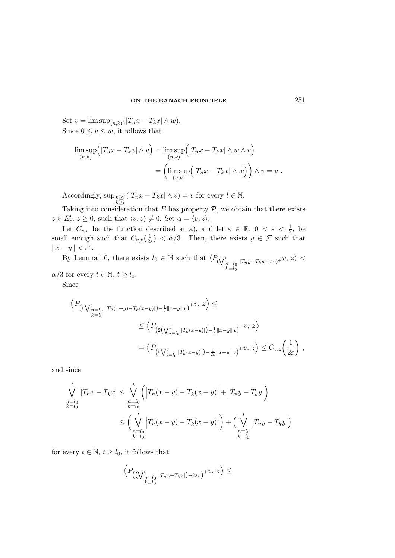Set  $v = \limsup_{(n,k)} (|T_n x - T_k x| \wedge w).$ Since  $0 \le v \le w$ , it follows that

$$
\limsup_{(n,k)} \Big( |T_n x - T_k x| \wedge v \Big) = \limsup_{(n,k)} \Big( |T_n x - T_k x| \wedge w \wedge v \Big)
$$

$$
= \Big( \limsup_{(n,k)} \Big( |T_n x - T_k x| \wedge w \Big) \Big) \wedge v = v.
$$

Accordingly, sup<sub>n≥l</sub>  $k \geq l$  $(|T_n x - T_k x| \wedge v) = v$  for every  $l \in \mathbb{N}$ .

Taking into consideration that  $E$  has property  $P$ , we obtain that there exists  $z \in E'_c, z \geq 0$ , such that  $\langle v, z \rangle \neq 0$ . Set  $\alpha = \langle v, z \rangle$ .

Let  $C_{v,z}$  be the function described at a), and let  $\varepsilon \in \mathbb{R}$ ,  $0 < \varepsilon < \frac{1}{2}$  $\frac{1}{2}$ , be small enough such that  $C_{v,z}(\frac{1}{2\varepsilon}) < \alpha/3$ . Then, there exists  $y \in \mathcal{F}$  such that  $||x - y|| < \varepsilon^2$ .

By Lemma 16, there exists  $l_0 \in \mathbb{N}$  such that  $\langle P_{(\bigvee_{\substack{n=1 \ k \neq l_0}}^t)} \rangle$  $|T_ny-T_ky|-\varepsilon v\rangle+ v, z\rangle <$  $\alpha/3$  for every  $t \in \mathbb{N}, t \geq l_0$ .

Since

$$
\left\langle P_{\left(\left(\bigvee_{k=l_0}^{t} |T_n(x-y)-T_k(x-y)|\right)-\frac{1}{\varepsilon}||x-y||v\right)}+v, z\right\rangle \leq
$$
\n
$$
\leq \left\langle P_{\left(2\left(\bigvee_{k=l_0}^{t} |T_k(x-y)|\right)-\frac{1}{\varepsilon}||x-y||v\right)}+v, z\right\rangle
$$
\n
$$
=\left\langle P_{\left(\left(\bigvee_{k=l_0}^{t} |T_k(x-y)|\right)-\frac{1}{2\varepsilon}||x-y||v\right)}+v, z\right\rangle \leq C_{v,z}\left(\frac{1}{2\varepsilon}\right),
$$

and since

$$
\bigvee_{n=l_0}^{t} |T_n x - T_k x| \leq \bigvee_{n=l_0}^{t} \left( \left| T_n (x - y) - T_k (x - y) \right| + |T_n y - T_k y| \right)
$$
\n
$$
\leq \left( \bigvee_{n=l_0}^{t} \left| T_n (x - y) - T_k (x - y) \right| \right) + \left( \bigvee_{n=l_0}^{t} |T_n y - T_k y| \right)
$$
\n
$$
\leq \left( \bigvee_{k=l_0}^{t} \left| T_n (x - y) - T_k (x - y) \right| \right) + \left( \bigvee_{n=l_0}^{t} |T_n y - T_k y| \right)
$$

for every  $t \in \mathbb{N}$ ,  $t \geq l_0$ , it follows that

$$
\left\langle P_{\left(\left(\bigvee_{k=l_0}^{t} |T_n x-T_k x|\right)-2\varepsilon v\right)}+v,\ z\right\rangle\leq
$$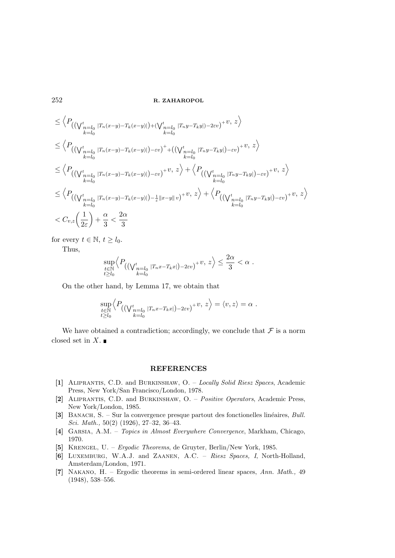$$
\leq \left\langle P_{((\bigvee_{n=l_0}^{t} |T_n(x-y)-T_k(x-y)|)+(\bigvee_{n=l_0}^{t} |T_ny-T_ky|)-2\varepsilon v)}+v, z \right\rangle
$$
\n
$$
\leq \left\langle P_{((\bigvee_{n=l_0}^{t} |T_n(x-y)-T_k(x-y)|)-\varepsilon v)}+((\bigvee_{n=l_0}^{t} |T_ny-T_ky|)-\varepsilon v})+v, z \right\rangle
$$
\n
$$
\leq \left\langle P_{((\bigvee_{n=l_0}^{t} |T_n(x-y)-T_k(x-y)|)-\varepsilon v)}+v, z \right\rangle + \left\langle P_{((\bigvee_{n=l_0}^{t} |T_ny-T_ky|)-\varepsilon v)}+v, z \right\rangle
$$
\n
$$
\leq \left\langle P_{((\bigvee_{n=l_0}^{t} |T_n(x-y)-T_k(x-y)|)-\frac{1}{\varepsilon}||x-y||v)}+v, z \right\rangle + \left\langle P_{((\bigvee_{n=l_0}^{t} |T_ny-T_ky|)-\varepsilon v)}+v, z \right\rangle
$$
\n
$$
< C_{v,z} \left(\frac{1}{2\varepsilon}\right) + \frac{\alpha}{3} < \frac{2\alpha}{3}
$$

for every  $t \in \mathbb{N}, t \geq l_0$ .

Thus,

$$
\sup_{\substack{t \in \mathbb{N} \\ t \ge l_0}} \left\langle P_{\left(\left(\bigvee_{k=l_0}^t |T_n x - T_k x|\right) - 2\varepsilon v\right)} + v, \ z \right\rangle \le \frac{2\alpha}{3} < \alpha \ .
$$

On the other hand, by Lemma 17, we obtain that

$$
\sup_{\substack{t\in\mathbb{N}\\t\geq l_0}}\left\langle P_{\left(\left(\bigvee_{\substack{n=l_0\\k=l_0}}^t|T_nx-T_kx|\right)-2\varepsilon v\right)}+v,\,z\right\rangle=\langle v,z\rangle=\alpha.
$$

We have obtained a contradiction; accordingly, we conclude that  $\mathcal F$  is a norm closed set in  $X$ .

## REFERENCES

- [1] Aliprantis, C.D. and Burkinshaw, O. Locally Solid Riesz Spaces, Academic Press, New York/San Francisco/London, 1978.
- [2] Aliprantis, C.D. and Burkinshaw, O. Positive Operators, Academic Press, New York/London, 1985.
- [3] BANACH, S. Sur la convergence presque partout des fonctionelles linéaires, Bull. Sci. Math., 50(2) (1926), 27–32, 36–43.
- [4] Garsia, A.M. Topics in Almost Everywhere Convergence, Markham, Chicago, 1970.
- [5] Krengel, U. Ergodic Theorems, de Gruyter, Berlin/New York, 1985.
- [6] Luxemburg, W.A.J. and Zaanen, A.C. Riesz Spaces, I, North-Holland, Amsterdam/London, 1971.
- [7] Nakano, H. Ergodic theorems in semi-ordered linear spaces, Ann. Math., 49 (1948), 538–556.